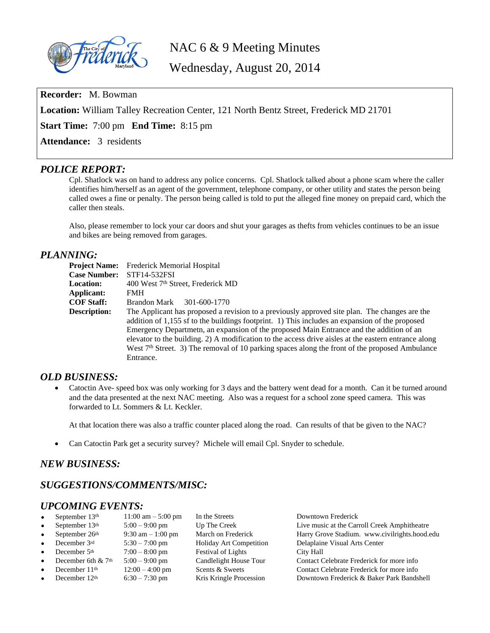

NAC 6 & 9 Meeting Minutes

Wednesday, August 20, 2014

**Recorder:** M. Bowman

**Location:** William Talley Recreation Center, 121 North Bentz Street, Frederick MD 21701

**Start Time:** 7:00 pm **End Time:** 8:15 pm

**Attendance:** 3 residents

## *POLICE REPORT:*

Cpl. Shatlock was on hand to address any police concerns. Cpl. Shatlock talked about a phone scam where the caller identifies him/herself as an agent of the government, telephone company, or other utility and states the person being called owes a fine or penalty. The person being called is told to put the alleged fine money on prepaid card, which the caller then steals.

Also, please remember to lock your car doors and shut your garages as thefts from vehicles continues to be an issue and bikes are being removed from garages.

### *PLANNING:*

| <b>Project Name:</b> | Frederick Memorial Hospital                                                                                                                                                                                                                                                                                                                                                                                                                                                                                                   |
|----------------------|-------------------------------------------------------------------------------------------------------------------------------------------------------------------------------------------------------------------------------------------------------------------------------------------------------------------------------------------------------------------------------------------------------------------------------------------------------------------------------------------------------------------------------|
| <b>Case Number:</b>  | STF14-532FSI                                                                                                                                                                                                                                                                                                                                                                                                                                                                                                                  |
| <b>Location:</b>     | 400 West 7 <sup>th</sup> Street, Frederick MD                                                                                                                                                                                                                                                                                                                                                                                                                                                                                 |
| Applicant:           | <b>FMH</b>                                                                                                                                                                                                                                                                                                                                                                                                                                                                                                                    |
| <b>COF Staff:</b>    | Brandon Mark<br>301-600-1770                                                                                                                                                                                                                                                                                                                                                                                                                                                                                                  |
| <b>Description:</b>  | The Applicant has proposed a revision to a previously approved site plan. The changes are the<br>addition of 1,155 sf to the buildings footprint. 1) This includes an expansion of the proposed<br>Emergency Departmetn, an expansion of the proposed Main Entrance and the addition of an<br>elevator to the building. 2) A modification to the access drive aisles at the eastern entrance along<br>West 7 <sup>th</sup> Street. 3) The removal of 10 parking spaces along the front of the proposed Ambulance<br>Entrance. |

## *OLD BUSINESS:*

 Catoctin Ave- speed box was only working for 3 days and the battery went dead for a month. Can it be turned around and the data presented at the next NAC meeting. Also was a request for a school zone speed camera. This was forwarded to Lt. Sommers & Lt. Keckler.

At that location there was also a traffic counter placed along the road. Can results of that be given to the NAC?

Can Catoctin Park get a security survey? Michele will email Cpl. Snyder to schedule.

## *NEW BUSINESS:*

# *SUGGESTIONS/COMMENTS/MISC:*

## *UPCOMING EVENTS:*

| $\bullet$ | September $13th$          | $11:00 \text{ am} - 5:00 \text{ pm}$ | In the Streets                 | Downtown Frederick                            |
|-----------|---------------------------|--------------------------------------|--------------------------------|-----------------------------------------------|
| $\bullet$ | September 13th            | $5:00 - 9:00$ pm                     | Up The Creek                   | Live music at the Carroll Creek Amphitheatre  |
| $\bullet$ | September 26th            | $9:30$ am $-1:00$ pm                 | March on Frederick             | Harry Grove Stadium. www.civilrights.hood.edu |
| $\bullet$ | December 3rd              | $5:30 - 7:00$ pm                     | <b>Holiday Art Competition</b> | Delaplaine Visual Arts Center                 |
| $\bullet$ | December 5th              | $7:00 - 8:00$ pm                     | <b>Festival of Lights</b>      | City Hall                                     |
| $\bullet$ | December 6th $& 7th$      | $5:00 - 9:00$ pm                     | Candlelight House Tour         | Contact Celebrate Frederick for more info     |
| $\bullet$ | December 11 <sup>th</sup> | $12:00 - 4:00$ pm                    | Scents & Sweets                | Contact Celebrate Frederick for more info     |
| $\bullet$ | December $12th$           | $6:30 - 7:30$ pm                     | Kris Kringle Procession        | Downtown Frederick & Baker Park Bandshell     |
|           |                           |                                      |                                |                                               |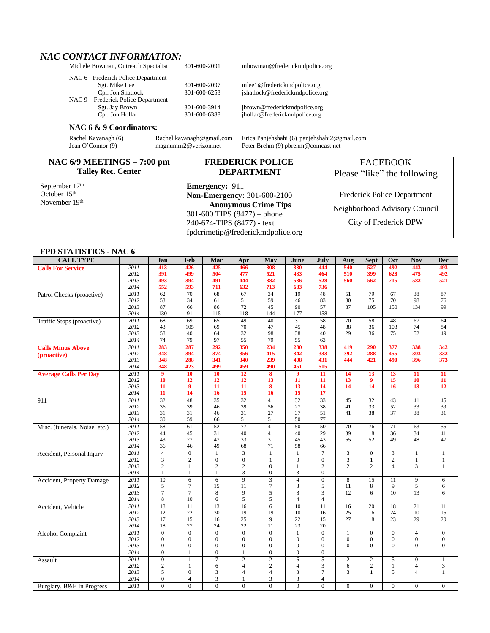# *NAC CONTACT INFORMATION:*

| Michele Bowman, Outreach Specialist                         | 301-600-209. |
|-------------------------------------------------------------|--------------|
| NAC 6 - Frederick Police Department                         |              |
| Sgt. Mike Lee                                               | 301-600-2097 |
| Cpl. Jon Shatlock                                           | 301-600-6253 |
| NAC 9 – Frederick Police Department                         |              |
| Sgt. Jay Brown                                              | 301-600-3914 |
| $C_{\rm m}$ L <sub>om</sub> H <sub>o</sub> ll <sub>om</sub> | 201,600,620  |

#### **NAC 6 & 9 Coordinators:**

### **NAC 6/9 MEETINGS – 7:00 pm Talley Rec. Center**

September 17<sup>th</sup> October 15<sup>th</sup> November 19th

**Emergency:** 911 **Non-Emergency:** 301-600-2100 **Anonymous Crime Tips** 301-600 TIPS (8477) – phone 240-674-TIPS (8477) - text [fpdcrimetip@frederickmdpolice.org](mailto:fpdcrimetip@frederickmdpolice.org)

**DEPARTMENT**

Michele Books 2001-600-2091 [mbowman@frederickmdpolice.](mailto:mbowman@frederickmdpolice.)org

7 mlee1@frederickmdpolice.org<br>3 jshatlock@frederickmdpolice.org jshatlock@frederickmdpolice.org

4 jbrown@frederickmdpolice.org Cpl. Jon Hollar 301-600-6388 jhollar@frederickmdpolice.org

Rachel Kavanagh (6) [Rachel.kavanagh@gmail.com](mailto:Rachel.kavanagh@gmail.com) Erica Panjehshahi (6) [panjehshahi2@gmail.com](mailto:panjehshahi2@gmail.com) Jean O'Connor (9) magnumm2@verizon.net Peter Brehm (9) pbrehm@comcast.net Peter Brehm (9) pbrehm@comcast.net

### **FREDERICK POLICE**  FACEBOOK

Please "like" the following

Frederick Police Department Neighborhood Advisory Council

City of Frederick DPW

### **FPD STATISTICS - NAC 6**

| <b>CALL TYPE</b>              |      | Jan              | Feb             | Mar             | Apr                     | May             | June             | July             | Aug             | <b>Sept</b>      | Oct             | <b>Nov</b>       | <b>Dec</b>       |
|-------------------------------|------|------------------|-----------------|-----------------|-------------------------|-----------------|------------------|------------------|-----------------|------------------|-----------------|------------------|------------------|
| <b>Calls For Service</b>      | 2011 | 413              | 426             | 425             | 466                     | 308             | 330              | 444              | 540             | 527              | 492             | 443              | 493              |
|                               | 2012 | 391              | 499             | 504             | 477                     | 521             | 433              | 464              | 510             | 399              | 628             | 475              | 492              |
|                               | 2013 | 493              | 394             | 491             | 444                     | 382             | 536              | 528              | 560             | 562              | 715             | 582              | 521              |
|                               | 2014 | 552              | 593             | 711             | 632                     | 713             | 683              | 736              |                 |                  |                 |                  |                  |
| Patrol Checks (proactive)     | 2011 | 62               | 70              | 68              | 67                      | $\overline{34}$ | 19               | 48               | 51              | 79               | 67              | 38               | 87               |
|                               | 2012 | 53               | 34              | 61              | 51                      | 59              | 46               | 83               | 80              | 75               | 70              | 98               | 76               |
|                               | 2013 | 87               | 66              | 86              | 72                      | 45              | 90               | 57               | 87              | 105              | 150             | 134              | 99               |
|                               | 2014 | 130              | 91              | 115             | 118                     | 144             | 177              | 158              |                 |                  |                 |                  |                  |
| Traffic Stops (proactive)     | 2011 | 68               | $\overline{69}$ | $\overline{65}$ | 49                      | $\overline{40}$ | $\overline{31}$  | $\overline{58}$  | $\overline{70}$ | $\overline{58}$  | 48              | $\overline{67}$  | 64               |
|                               | 2012 | 43               | 105             | 69              | 70                      | 47              | 45               | 48               | 38              | 36               | 103             | 74               | 84               |
|                               | 2013 | 58               | 40              | 64              | 32                      | 98              | 38               | 40               | 29              | 36               | 75              | 52               | 49               |
|                               | 2014 | 74               | 79              | 97              | 55                      | 79              | 55               | 63               |                 |                  |                 |                  |                  |
| <b>Calls Minus Above</b>      | 2011 | 283              | 287             | 292             | 350                     | 234             | 280              | 338              | 419             | 290              | 377             | 338              | 342              |
| (proactive)                   | 2012 | 348              | 394             | 374             | 356                     | 415             | 342              | 333              | 392             | 288              | 455             | 303              | 332              |
|                               | 2013 | 348              | 288             | 341             | 340                     | 239             | 408              | 431              | 444             | 421              | 490             | 396              | 373              |
|                               | 2014 | 348              | 423             | 499             | 459                     | 490             | 451              | 515              |                 |                  |                 |                  |                  |
| <b>Average Calls Per Day</b>  | 2011 | 9                | 10              | 10              | 12                      | 8               | $\overline{9}$   | 11               | $\overline{14}$ | $\overline{13}$  | $\overline{13}$ | $\overline{11}$  | 11               |
|                               | 2012 | 10               | 12              | 12              | 12                      | 13              | 11               | 11               | 13              | $\boldsymbol{9}$ | 15              | 10               | 11               |
|                               | 2013 | 11               | 9               | 11              | 11                      | 8               | 13               | 14               | 14              | 14               | 16              | 13               | 12               |
|                               | 2014 | 11               | 14              | 16              | 15                      | 16              | 15               | 17               |                 |                  |                 |                  |                  |
| 911                           | 2011 | $\overline{32}$  | 48              | $\overline{35}$ | $\overline{32}$         | 41              | $\overline{32}$  | $\overline{33}$  | 45              | 32               | 43              | 41               | 45               |
|                               | 2012 | 36               | 39              | 46              | 39                      | 56              | 27               | 38               | 41              | 33               | 52              | 33               | 39               |
|                               | 2013 | 31               | 31              | 46              | 31                      | 27              | 37               | 51               | 41              | 38               | 37              | 38               | 31               |
|                               | 2014 | 30               | 59              | 66              | 51                      | 51              | 50               | 77               |                 |                  |                 |                  |                  |
| Misc. (funerals, Noise, etc.) | 2011 | $\overline{58}$  | $\overline{61}$ | $\overline{52}$ | $\overline{77}$         | $\overline{41}$ | $\overline{50}$  | $\overline{50}$  | $\overline{70}$ | $\overline{76}$  | 71              | 63               | $\overline{55}$  |
|                               | 2012 | 44               | 45              | 31              | 40                      | 41              | 40               | 29               | 39              | 18               | 36              | 34               | 41               |
|                               | 2013 | 43               | 27              | 47              | 33                      | 31              | 45               | 43               | 65              | 52               | 49              | 48               | 47               |
|                               | 2014 | 36               | 46              | 49              | 68                      | 71              | 58               | 66               |                 |                  |                 |                  |                  |
| Accident, Personal Injury     | 2011 | $\overline{4}$   | $\overline{0}$  | $\mathbf{1}$    | $\overline{\mathbf{3}}$ | $\mathbf{1}$    | $\mathbf{1}$     | 7                | 3               | $\mathbf{0}$     | 3               | 1                | 1                |
|                               | 2012 | 3                | $\overline{c}$  | $\overline{0}$  | $\overline{0}$          | 1               | $\boldsymbol{0}$ | $\overline{0}$   | 3               | 1                | $\overline{c}$  | $\mathbf{1}$     | $\mathbf{1}$     |
|                               | 2013 | $\overline{c}$   | $\mathbf{1}$    | $\overline{c}$  | $\overline{c}$          | $\overline{0}$  | $\mathbf{1}$     | $\overline{c}$   | $\overline{2}$  | $\overline{c}$   | $\overline{4}$  | 3                | $\mathbf{1}$     |
|                               | 2014 | 1                | 1               | 1               | 3                       | $\mathbf{0}$    | 3                | $\overline{0}$   |                 |                  |                 |                  |                  |
| Accident, Property Damage     | 2011 | 10               | 6               | 6               | $\overline{9}$          | 3               | $\overline{4}$   | $\boldsymbol{0}$ | 8               | 15               | 11              | 9                | 6                |
|                               | 2012 | 5                | 7               | 15              | 11                      | 7               | 3                | 5                | 11              | 8                | 9               | 5                | 6                |
|                               | 2013 | $\overline{7}$   | $\overline{7}$  | 8               | 9                       | 5               | 8                | 3                | 12              | 6                | 10              | 13               | 6                |
|                               | 2014 | 8                | 10              | 6               | 5                       | 5               | $\overline{4}$   | $\overline{4}$   |                 |                  |                 |                  |                  |
| Accident, Vehicle             | 2011 | $\overline{18}$  | $\overline{11}$ | 13              | 16                      | 6               | 10               | 11               | 16              | $\overline{20}$  | 18              | 21               | 11               |
|                               | 2012 | 12               | 22              | 30              | 19                      | 19              | 10               | 16               | 25              | 16               | 24              | 10               | 15               |
|                               | 2013 | 17               | 15              | 16              | 25                      | 9               | 22               | 15               | 27              | 18               | 23              | 29               | 20               |
|                               | 2014 | 18               | 27              | 24              | 22                      | 11              | 23               | 20               |                 |                  |                 |                  |                  |
| <b>Alcohol Complaint</b>      | 2011 | $\overline{0}$   | $\overline{0}$  | $\overline{0}$  | $\overline{0}$          | $\mathbf{0}$    | $\mathbf{1}$     | $\mathbf{0}$     | $\mathbf{1}$    | $\mathbf{0}$     | $\overline{0}$  | $\overline{4}$   | $\mathbf{0}$     |
|                               | 2012 | $\mathbf{0}$     | $\mathbf{0}$    | $\overline{0}$  | $\mathbf{0}$            | $\mathbf{0}$    | $\mathbf{0}$     | $\overline{0}$   | $\mathbf{0}$    | $\mathbf{0}$     | $\mathbf{0}$    | $\mathbf{0}$     | $\boldsymbol{0}$ |
|                               | 2013 | $\overline{0}$   | $\overline{0}$  | $\mathbf{0}$    | $\overline{0}$          | $\mathbf{0}$    | $\boldsymbol{0}$ | $\overline{0}$   | $\Omega$        | $\Omega$         | $\Omega$        | $\mathbf{0}$     | $\overline{0}$   |
|                               | 2014 | $\Omega$         | 1               | $\overline{0}$  | 1                       | $\theta$        | $\overline{0}$   | $\overline{0}$   |                 |                  |                 |                  |                  |
| Assault                       | 2011 | $\boldsymbol{0}$ | $\mathbf{1}$    | $\overline{7}$  | $\overline{2}$          | $\overline{2}$  | 6                | $\overline{5}$   | $\overline{2}$  | $\overline{2}$   | 5               | $\boldsymbol{0}$ | $\overline{1}$   |
|                               | 2012 | $\overline{c}$   | 1               | 6               | $\overline{4}$          | $\overline{c}$  | $\overline{4}$   | 3                | 6               | $\mathbf{2}$     | 1               | $\overline{4}$   | 3                |
|                               | 2013 | 5                | $\overline{0}$  | 3               | $\overline{4}$          | $\overline{4}$  | 3                | 7                | 3               | $\mathbf{1}$     | 5               | $\overline{4}$   | $\mathbf{1}$     |
|                               | 2014 | $\overline{0}$   | $\overline{4}$  | 3               | 1                       | 3               | 3                | $\overline{4}$   |                 |                  |                 |                  |                  |
| Burglary, B&E In Progress     | 2011 | $\Omega$         | $\overline{0}$  | $\overline{0}$  | $\theta$                | $\theta$        | $\overline{0}$   | $\theta$         | $\Omega$        | $\overline{0}$   | $\Omega$        | $\mathbf{0}$     | $\overline{0}$   |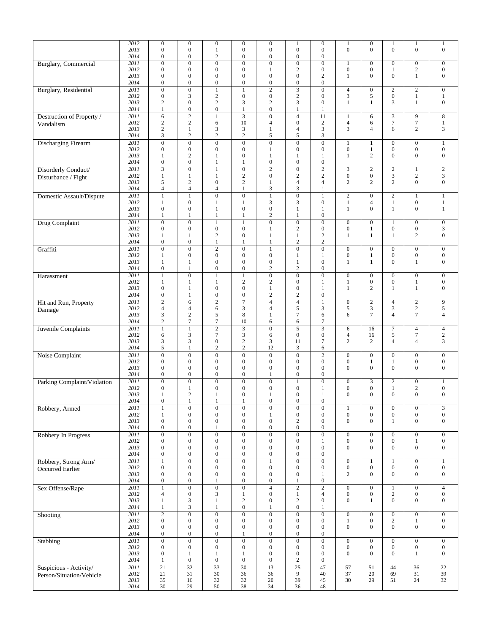|                                            | 2012<br>2013<br>2014 | $\overline{0}$<br>$\boldsymbol{0}$<br>$\overline{0}$ | $\boldsymbol{0}$<br>$\boldsymbol{0}$<br>$\boldsymbol{0}$ | $\mathbf{0}$<br>$\mathbf{1}$<br>$\boldsymbol{2}$     | $\boldsymbol{0}$<br>$\boldsymbol{0}$<br>$\boldsymbol{0}$ | $\boldsymbol{0}$<br>$\mathbf{0}$<br>$\boldsymbol{0}$ | $\mathbf{1}$<br>$\boldsymbol{0}$<br>$\boldsymbol{0}$ | $\boldsymbol{0}$<br>$\boldsymbol{0}$<br>$\boldsymbol{0}$ | $\mathbf{1}$<br>$\boldsymbol{0}$     | $\boldsymbol{0}$<br>$\overline{0}$   | $\mathbf{1}$<br>$\mathbf{0}$              | 1<br>$\mathbf{0}$                              | $\mathbf{1}$<br>$\boldsymbol{0}$      |
|--------------------------------------------|----------------------|------------------------------------------------------|----------------------------------------------------------|------------------------------------------------------|----------------------------------------------------------|------------------------------------------------------|------------------------------------------------------|----------------------------------------------------------|--------------------------------------|--------------------------------------|-------------------------------------------|------------------------------------------------|---------------------------------------|
| <b>Burglary</b> , Commercial               | 2011<br>2012         | $\overline{0}$<br>$\overline{0}$                     | $\boldsymbol{0}$<br>$\boldsymbol{0}$                     | $\overline{0}$<br>$\overline{0}$                     | $\overline{0}$<br>$\overline{0}$                         | $\overline{0}$<br>1                                  | $\boldsymbol{0}$<br>$\sqrt{2}$                       | $\boldsymbol{0}$<br>$\boldsymbol{0}$                     | $\mathbf{1}$<br>$\boldsymbol{0}$     | $\boldsymbol{0}$<br>$\mathbf{0}$     | $\boldsymbol{0}$<br>$\mathbf{1}$          | $\mathbf{0}$<br>$\sqrt{2}$                     | $\boldsymbol{0}$<br>$\boldsymbol{0}$  |
|                                            | 2013<br>2014         | $\boldsymbol{0}$<br>$\overline{0}$                   | $\boldsymbol{0}$<br>$\boldsymbol{0}$                     | $\boldsymbol{0}$<br>$\boldsymbol{0}$                 | $\mathbf{0}$<br>$\boldsymbol{0}$                         | $\mathbf{0}$<br>$\boldsymbol{0}$                     | $\boldsymbol{0}$<br>$\boldsymbol{0}$                 | 2<br>$\overline{0}$                                      | $\mathbf{1}$                         | $\overline{0}$                       | $\overline{0}$                            | 1                                              | $\boldsymbol{0}$                      |
| <b>Burglary</b> , Residential              | 2011<br>2012<br>2013 | $\overline{0}$<br>$\overline{0}$<br>$\mathfrak{2}$   | $\overline{0}$<br>3<br>$\boldsymbol{0}$                  | $\mathbf{1}$<br>$\boldsymbol{2}$<br>$\boldsymbol{2}$ | 1<br>$\boldsymbol{0}$<br>3                               | $\overline{2}$<br>$\mathbf{0}$<br>$\overline{c}$     | $\overline{\mathbf{3}}$<br>$\sqrt{2}$<br>3           | $\boldsymbol{0}$<br>$\boldsymbol{0}$<br>0                | $\overline{4}$<br>3<br>1             | $\boldsymbol{0}$<br>5<br>1           | $\boldsymbol{2}$<br>$\boldsymbol{0}$<br>3 | $\overline{2}$<br>$\mathbf{1}$<br>$\mathbf{1}$ | $\boldsymbol{0}$<br>1<br>$\mathbf{0}$ |
|                                            | 2014                 | $\mathbf{1}$                                         | $\boldsymbol{0}$                                         | $\mathbf{0}$                                         | $\mathbf{1}$                                             | $\boldsymbol{0}$                                     | $\mathbf{1}$                                         | $\mathbf{1}$                                             |                                      |                                      |                                           |                                                |                                       |
| Destruction of Property /<br>Vandalism     | 2011<br>2012         | 6<br>$\mathfrak{2}$                                  | $\overline{2}$<br>$\sqrt{2}$                             | $\mathbf{1}$<br>6                                    | $\overline{3}$<br>10                                     | $\overline{0}$<br>$\overline{4}$                     | $\overline{4}$<br>$\boldsymbol{0}$                   | 11<br>$\mathfrak{2}$                                     | $\mathbf{1}$<br>$\overline{4}$       | 6<br>6                               | 3<br>$\tau$                               | 9<br>$\tau$                                    | $\,8\,$<br>1                          |
|                                            | 2013<br>2014         | $\sqrt{2}$<br>3                                      | $\mathbf{1}$<br>$\overline{2}$                           | 3<br>$\overline{c}$                                  | 3<br>$\sqrt{2}$                                          | 1<br>5                                               | $\overline{4}$<br>$\sqrt{5}$                         | 3<br>3                                                   | 3                                    | $\overline{4}$                       | 6                                         | $\overline{c}$                                 | 3                                     |
| <b>Discharging Firearm</b>                 | 2011                 | $\overline{0}$                                       | $\overline{0}$                                           | $\overline{0}$                                       | $\overline{0}$                                           | $\overline{0}$                                       | $\overline{0}$                                       | $\overline{0}$                                           | $\mathbf{1}$                         | 1                                    | $\mathbf{0}$                              | $\boldsymbol{0}$                               | $\mathbf{1}$                          |
|                                            | 2012<br>2013         | $\mathbf{0}$<br>$\mathbf{1}$                         | $\boldsymbol{0}$<br>$\sqrt{2}$                           | $\mathbf{0}$<br>1                                    | $\mathbf{0}$<br>$\overline{0}$                           | 1<br>1                                               | $\boldsymbol{0}$<br>1                                | 0<br>$\mathbf{1}$                                        | $\boldsymbol{0}$<br>$\mathbf{1}$     | $\mathbf{1}$<br>$\overline{c}$       | $\mathbf{0}$<br>$\overline{0}$            | $\boldsymbol{0}$<br>$\mathbf{0}$               | $\boldsymbol{0}$<br>$\boldsymbol{0}$  |
|                                            | 2014                 | $\overline{0}$                                       | $\boldsymbol{0}$                                         | 1                                                    | 1                                                        | $\boldsymbol{0}$                                     | $\boldsymbol{0}$                                     | $\boldsymbol{0}$                                         |                                      |                                      |                                           |                                                |                                       |
| Disorderly Conduct/<br>Disturbance / Fight | 2011<br>2012         | 3<br>$\mathbf{1}$                                    | $\boldsymbol{0}$<br>$\mathbf{1}$                         | $\mathbf{1}$<br>$\mathbf{1}$                         | $\boldsymbol{0}$<br>$\mathbf{2}$                         | $\overline{c}$<br>$\boldsymbol{0}$                   | $\mathbf{0}$<br>$\mathfrak{2}$                       | $\overline{c}$<br>$\overline{c}$                         | $\mathfrak{Z}$<br>$\boldsymbol{0}$   | $\sqrt{2}$<br>$\boldsymbol{0}$       | $\sqrt{2}$<br>3                           | $\mathbf{1}$<br>$\overline{c}$                 | $\sqrt{2}$<br>3                       |
|                                            | 2013<br>2014         | 5<br>$\overline{4}$                                  | $\mathbf{2}$<br>$\overline{4}$                           | $\boldsymbol{0}$<br>$\overline{4}$                   | $\mathfrak{2}$<br>1                                      | $\mathbf{1}$<br>3                                    | $\overline{4}$<br>3                                  | 4<br>1                                                   | $\mathfrak{2}$                       | $\overline{c}$                       | $\overline{c}$                            | $\mathbf{0}$                                   | $\boldsymbol{0}$                      |
| Domestic Assault/Dispute                   | 2011                 | $\mathbf{1}$                                         | $\mathbf{1}$                                             | $\boldsymbol{0}$                                     | $\overline{0}$                                           | 1                                                    | $\overline{0}$                                       | $\mathbf{1}$                                             | $\sqrt{2}$                           | $\boldsymbol{0}$                     | 2                                         | 1                                              | $\mathbf{1}$                          |
|                                            | 2012<br>2013         | 1<br>$\overline{0}$                                  | $\boldsymbol{0}$<br>$\overline{0}$                       | $\mathbf{1}$<br>1                                    | $\mathbf{1}$<br>$\overline{0}$                           | 3<br>$\overline{0}$                                  | $\mathfrak{Z}$<br>1                                  | $\boldsymbol{0}$<br>1                                    | $\mathbf{1}$<br>$\mathbf{1}$         | $\overline{4}$<br>$\theta$           | $\mathbf{1}$<br>$\mathbf{1}$              | $\boldsymbol{0}$<br>$\mathbf{0}$               | $\mathbf{1}$<br>$\mathbf{1}$          |
|                                            | 2014                 | 1                                                    | $\mathbf{1}$                                             | 1                                                    | 1                                                        | $\overline{c}$                                       | $\mathbf{1}$                                         | $\boldsymbol{0}$                                         |                                      |                                      |                                           |                                                |                                       |
| Drug Complaint                             | 2011<br>2012         | $\overline{0}$<br>$\boldsymbol{0}$                   | $\boldsymbol{0}$<br>$\boldsymbol{0}$                     | $\mathbf{1}$<br>$\boldsymbol{0}$                     | $\mathbf{1}$<br>$\boldsymbol{0}$                         | $\mathbf{0}$<br>1                                    | $\boldsymbol{0}$<br>$\sqrt{2}$                       | $\boldsymbol{0}$<br>$\boldsymbol{0}$                     | $\boldsymbol{0}$<br>$\boldsymbol{0}$ | $\boldsymbol{0}$<br>$\mathbf{1}$     | $\mathbf{1}$<br>$\boldsymbol{0}$          | $\boldsymbol{0}$<br>$\boldsymbol{0}$           | $\boldsymbol{0}$<br>3                 |
|                                            | 2013<br>2014         | 1<br>$\mathbf{0}$                                    | $\mathbf{1}$<br>$\overline{0}$                           | $\overline{c}$<br>$\mathbf{1}$                       | $\boldsymbol{0}$<br>1                                    | 1<br>$\mathbf{1}$                                    | $\mathbf{1}$<br>$\overline{2}$                       | $\mathbf{2}$<br>$\mathbf{2}$                             | $\mathbf{1}$                         | $\mathbf{1}$                         | 1                                         | $\overline{c}$                                 | $\boldsymbol{0}$                      |
| Graffiti                                   | 2011                 | $\boldsymbol{0}$                                     | $\overline{0}$                                           | $\mathbf{2}$                                         | $\overline{0}$                                           | $\mathbf{1}$                                         | $\boldsymbol{0}$                                     | $\overline{0}$                                           | $\boldsymbol{0}$                     | $\boldsymbol{0}$                     | $\boldsymbol{0}$                          | $\boldsymbol{0}$                               | $\boldsymbol{0}$                      |
|                                            | 2012<br>2013         | 1<br>1                                               | $\boldsymbol{0}$<br>1                                    | $\boldsymbol{0}$<br>$\boldsymbol{0}$                 | $\boldsymbol{0}$<br>$\theta$                             | $\mathbf{0}$<br>$\overline{0}$                       | $\mathbf{1}$<br>1                                    | 1<br>$\overline{0}$                                      | $\boldsymbol{0}$<br>$\mathbf{1}$     | $\mathbf{1}$<br>1                    | $\boldsymbol{0}$<br>$\overline{0}$        | $\boldsymbol{0}$<br>$\mathbf{1}$               | $\boldsymbol{0}$<br>$\boldsymbol{0}$  |
| Harassment                                 | 2014<br>2011         | $\overline{0}$<br>$\mathbf{1}$                       | $\mathbf{1}$<br>$\overline{0}$                           | $\boldsymbol{0}$<br>$\mathbf{1}$                     | $\boldsymbol{0}$<br>$\mathbf{1}$                         | $\overline{c}$<br>$\boldsymbol{0}$                   | $\sqrt{2}$<br>$\overline{0}$                         | $\boldsymbol{0}$<br>$\boldsymbol{0}$                     | $\boldsymbol{0}$                     | $\boldsymbol{0}$                     | $\boldsymbol{0}$                          | $\mathbf{0}$                                   | $\mathbf{0}$                          |
|                                            | 2012                 | 1                                                    | 1                                                        | 1                                                    | $\mathbf{2}$                                             | $\overline{c}$                                       | $\boldsymbol{0}$                                     | 1                                                        | $\mathbf{1}$                         | $\boldsymbol{0}$                     | $\boldsymbol{0}$                          | 1                                              | $\boldsymbol{0}$                      |
|                                            | 2013<br>2014         | $\overline{0}$<br>$\boldsymbol{0}$                   | $\mathbf{1}$<br>1                                        | $\boldsymbol{0}$<br>$\boldsymbol{0}$                 | $\boldsymbol{0}$<br>$\boldsymbol{0}$                     | $\mathbf{1}$<br>$\mathbf{2}$                         | $\boldsymbol{0}$<br>$\overline{2}$                   | $\mathbf{1}$<br>$\boldsymbol{0}$                         | $\mathbf{1}$                         | $\overline{c}$                       | $\mathbf{1}$                              | 1                                              | $\mathbf{0}$                          |
| Hit and Run, Property                      | 2011<br>2012         | $\overline{2}$<br>$\overline{4}$                     | 6<br>$\overline{4}$                                      | $\overline{2}$<br>6                                  | $\overline{\tau}$<br>3                                   | $\overline{4}$<br>$\overline{4}$                     | $\overline{4}$<br>$\sqrt{5}$                         | $\mathbf{1}$<br>3                                        | $\boldsymbol{0}$<br>5                | $\sqrt{2}$<br>3                      | $\overline{4}$<br>$\mathfrak{Z}$          | $\overline{2}$<br>$\sqrt{2}$                   | $\overline{9}$<br>5                   |
| Damage                                     | 2013                 | 3                                                    | $\sqrt{2}$                                               | 5                                                    | 8                                                        | 1                                                    | $\tau$                                               | 6                                                        | 6                                    | $\overline{7}$                       | $\overline{4}$                            | $\tau$                                         | $\overline{4}$                        |
| <b>Juvenile Complaints</b>                 | 2014<br>2011         | $\mathbf{2}$<br>$\mathbf{1}$                         | $\tau$<br>$\overline{1}$                                 | $\tau$<br>$\overline{2}$                             | 10<br>$\overline{\mathbf{3}}$                            | 6<br>$\overline{0}$                                  | $\sqrt{6}$<br>5                                      | $\tau$<br>3                                              | $\sqrt{6}$                           | 16                                   | $\tau$                                    | $\overline{4}$                                 | $\overline{4}$                        |
|                                            | 2012<br>2013         | 6<br>3                                               | 3<br>3                                                   | 7<br>$\boldsymbol{0}$                                | 3<br>$\sqrt{2}$                                          | 6<br>3                                               | $\boldsymbol{0}$<br>11                               | $\boldsymbol{0}$<br>7                                    | $\overline{4}$<br>$\overline{c}$     | 16<br>$\overline{c}$                 | 5<br>$\overline{4}$                       | 7<br>$\overline{4}$                            | $\overline{c}$<br>3                   |
|                                            | 2014                 | 5                                                    | 1                                                        | $\overline{c}$                                       | $\sqrt{2}$                                               | 12                                                   | 3                                                    | 6                                                        |                                      |                                      |                                           |                                                |                                       |
| Noise Complaint                            | 2011<br>2012         | $\overline{0}$<br>$\mathbf{0}$                       | $\overline{0}$<br>$\boldsymbol{0}$                       | $\overline{0}$<br>$\boldsymbol{0}$                   | $\overline{0}$<br>$\boldsymbol{0}$                       | $\mathbf{0}$<br>$\overline{0}$                       | $\overline{0}$<br>$\boldsymbol{0}$                   | $\overline{2}$<br>0                                      | $\boldsymbol{0}$<br>$\boldsymbol{0}$ | $\boldsymbol{0}$<br>$\mathbf{1}$     | $\mathbf{0}$<br>$\mathbf{1}$              | $\boldsymbol{0}$<br>$\boldsymbol{0}$           | $\overline{0}$<br>$\mathbf{0}$        |
|                                            | 2013<br>2014         | $\mathbf{0}$<br>$\mathbf{0}$                         | $\boldsymbol{0}$<br>$\boldsymbol{0}$                     | $\boldsymbol{0}$<br>$\boldsymbol{0}$                 | $\boldsymbol{0}$<br>$\boldsymbol{0}$                     | $\mathbf{0}$<br>1                                    | $\boldsymbol{0}$<br>$\boldsymbol{0}$                 | 0<br>$\boldsymbol{0}$                                    | $\boldsymbol{0}$                     | $\overline{0}$                       | $\mathbf{0}$                              | $\boldsymbol{0}$                               | $\mathbf{0}$                          |
| Parking Complaint/Violation                | 2011                 | $\mathbf{0}$                                         | $\overline{0}$                                           | $\boldsymbol{0}$                                     | $\overline{0}$                                           | $\boldsymbol{0}$                                     | $\mathbf{1}$                                         | $\overline{0}$                                           | $\boldsymbol{0}$                     | 3                                    | $\boldsymbol{2}$                          | $\boldsymbol{0}$                               | $\mathbf{1}$                          |
|                                            | 2012<br>2013         | $\mathbf{0}$<br>1                                    | $\mathbf{1}$<br>$\overline{c}$                           | $\boldsymbol{0}$<br>$\mathbf{1}$                     | $\boldsymbol{0}$<br>$\Omega$                             | $\boldsymbol{0}$<br>$\mathbf{1}$                     | $\boldsymbol{0}$<br>$\theta$                         | 1<br>1                                                   | $\boldsymbol{0}$<br>$\mathbf{0}$     | $\boldsymbol{0}$<br>$\overline{0}$   | $\mathbf{1}$<br>$\Omega$                  | $\mathbf{2}$<br>$\mathbf{0}$                   | $\mathbf{0}$<br>$\Omega$              |
|                                            | 2014                 | $\boldsymbol{0}$                                     | 1                                                        | $\mathbf{1}$                                         | $\mathbf{1}$                                             | $\boldsymbol{0}$                                     | $\boldsymbol{0}$                                     | $\boldsymbol{0}$                                         |                                      |                                      |                                           |                                                |                                       |
| Robbery, Armed                             | 2011<br>2012         | $\mathbf{1}$<br>1                                    | $\overline{0}$<br>$\boldsymbol{0}$                       | $\mathbf{0}$<br>$\boldsymbol{0}$                     | $\overline{0}$<br>$\boldsymbol{0}$                       | $\overline{0}$<br>1                                  | $\overline{0}$<br>$\boldsymbol{0}$                   | $\overline{0}$<br>$\boldsymbol{0}$                       | $\mathbf{1}$<br>$\boldsymbol{0}$     | $\boldsymbol{0}$<br>$\boldsymbol{0}$ | $\mathbf{0}$<br>$\boldsymbol{0}$          | $\mathbf{0}$<br>$\mathbf{0}$                   | 3<br>$\boldsymbol{0}$                 |
|                                            | 2013<br>2014         | $\boldsymbol{0}$<br>$\mathbf{0}$                     | $\boldsymbol{0}$<br>$\boldsymbol{0}$                     | $\boldsymbol{0}$<br>$\mathbf{1}$                     | $\boldsymbol{0}$<br>$\boldsymbol{0}$                     | $\boldsymbol{0}$<br>$\boldsymbol{0}$                 | $\sqrt{2}$<br>$\boldsymbol{0}$                       | $\boldsymbol{0}$<br>$\boldsymbol{0}$                     | $\boldsymbol{0}$                     | $\overline{0}$                       | 1                                         | $\mathbf{0}$                                   | $\boldsymbol{0}$                      |
| Robbery In Progress                        | 2011                 | $\mathbf{0}$                                         | $\overline{0}$                                           | $\mathbf{0}$                                         | $\boldsymbol{0}$                                         | $\boldsymbol{0}$                                     | $\overline{0}$                                       | $\boldsymbol{0}$                                         | $\boldsymbol{0}$                     | $\boldsymbol{0}$                     | $\mathbf{0}$                              | $\boldsymbol{0}$                               | $\boldsymbol{0}$                      |
|                                            | 2012<br>2013         | $\overline{0}$<br>$\mathbf{0}$                       | $\boldsymbol{0}$<br>$\boldsymbol{0}$                     | $\mathbf{0}$<br>$\boldsymbol{0}$                     | $\boldsymbol{0}$<br>$\boldsymbol{0}$                     | $\boldsymbol{0}$<br>$\mathbf{0}$                     | $\boldsymbol{0}$<br>$\boldsymbol{0}$                 | 1<br>$\mathbf{0}$                                        | $\boldsymbol{0}$<br>$\boldsymbol{0}$ | $\boldsymbol{0}$<br>$\overline{0}$   | $\boldsymbol{0}$<br>$\overline{0}$        | $\mathbf{1}$<br>$\boldsymbol{0}$               | $\boldsymbol{0}$<br>$\boldsymbol{0}$  |
| Robbery, Strong Arm/                       | 2014<br>2011         | $\mathbf{0}$<br>$\mathbf{1}$                         | $\boldsymbol{0}$<br>$\overline{0}$                       | $\boldsymbol{0}$<br>$\boldsymbol{0}$                 | $\boldsymbol{0}$<br>$\overline{0}$                       | $\boldsymbol{0}$<br>$\mathbf{1}$                     | $\boldsymbol{0}$<br>$\overline{0}$                   | $\boldsymbol{0}$<br>$\boldsymbol{0}$                     | $\boldsymbol{0}$                     | $\mathbf{1}$                         | $\mathbf{1}$                              | $\boldsymbol{0}$                               | $\mathbf{1}$                          |
| Occurred Earlier                           | 2012                 | $\boldsymbol{0}$                                     | $\boldsymbol{0}$                                         | $\overline{0}$                                       | $\boldsymbol{0}$                                         | $\mathbf{0}$                                         | $\boldsymbol{0}$                                     | $\boldsymbol{0}$                                         | $\boldsymbol{0}$                     | $\boldsymbol{0}$                     | $\boldsymbol{0}$                          | $\boldsymbol{0}$                               | $\boldsymbol{0}$                      |
|                                            | 2013<br>2014         | $\boldsymbol{0}$<br>$\boldsymbol{0}$                 | $\boldsymbol{0}$<br>$\boldsymbol{0}$                     | $\boldsymbol{0}$<br>$\mathbf{1}$                     | $\boldsymbol{0}$<br>$\boldsymbol{0}$                     | $\boldsymbol{0}$<br>$\boldsymbol{0}$                 | $\boldsymbol{0}$<br>$\mathbf{1}$                     | $\mathbf{1}$<br>$\boldsymbol{0}$                         | $\mathbf{2}$                         | $\overline{0}$                       | $\mathbf{0}$                              | $\boldsymbol{0}$                               | $\boldsymbol{0}$                      |
| Sex Offense/Rape                           | 2011<br>2012         | $\mathbf{1}$<br>$\overline{4}$                       | $\overline{0}$<br>$\boldsymbol{0}$                       | $\overline{0}$<br>3                                  | $\overline{0}$<br>$\mathbf{1}$                           | $\overline{4}$<br>$\mathbf{0}$                       | $\overline{2}$<br>$\mathbf{1}$                       | $\overline{2}$<br>4                                      | $\boldsymbol{0}$<br>$\boldsymbol{0}$ | $\boldsymbol{0}$<br>$\boldsymbol{0}$ | $\mathbf{1}$<br>$\sqrt{2}$                | $\boldsymbol{0}$<br>$\boldsymbol{0}$           | $\overline{4}$<br>$\boldsymbol{0}$    |
|                                            | 2013                 | $\mathbf{1}$                                         | 3                                                        | $\mathbf{1}$                                         | $\sqrt{2}$                                               | $\mathbf{0}$                                         | $\sqrt{2}$                                           | $\boldsymbol{0}$                                         | $\boldsymbol{0}$                     | $\mathbf{1}$                         | $\overline{0}$                            | $\boldsymbol{0}$                               | $\boldsymbol{0}$                      |
| Shooting                                   | 2014<br>2011         | $\mathbf{1}$<br>$\overline{2}$                       | $\sqrt{3}$<br>$\overline{0}$                             | $\mathbf{1}$<br>$\overline{0}$                       | $\boldsymbol{0}$<br>$\overline{0}$                       | 1<br>$\boldsymbol{0}$                                | $\boldsymbol{0}$<br>$\overline{0}$                   | $\mathbf{1}$<br>$\overline{0}$                           | $\overline{0}$                       | $\boldsymbol{0}$                     | $\boldsymbol{0}$                          | $\overline{0}$                                 | $\boldsymbol{0}$                      |
|                                            | 2012<br>2013         | $\mathbf{0}$<br>$\boldsymbol{0}$                     | $\boldsymbol{0}$<br>$\boldsymbol{0}$                     | $\boldsymbol{0}$<br>$\boldsymbol{0}$                 | $\boldsymbol{0}$<br>$\boldsymbol{0}$                     | $\boldsymbol{0}$<br>$\boldsymbol{0}$                 | $\boldsymbol{0}$<br>$\boldsymbol{0}$                 | $\boldsymbol{0}$<br>$\boldsymbol{0}$                     | $\mathbf{1}$<br>$\boldsymbol{0}$     | $\boldsymbol{0}$<br>$\boldsymbol{0}$ | $\sqrt{2}$<br>$\mathbf{0}$                | $\mathbf{1}$<br>$\boldsymbol{0}$               | $\boldsymbol{0}$<br>$\boldsymbol{0}$  |
|                                            | 2014                 | $\overline{0}$                                       | $\boldsymbol{0}$                                         | $\mathbf{0}$                                         | $\mathbf{1}$                                             | $\boldsymbol{0}$                                     | $\mathbf{0}$                                         | $\boldsymbol{0}$                                         |                                      |                                      |                                           |                                                |                                       |
| Stabbing                                   | 2011<br>2012         | $\overline{0}$<br>$\overline{0}$                     | $\overline{0}$<br>$\boldsymbol{0}$                       | $\overline{0}$<br>$\boldsymbol{0}$                   | $\overline{0}$<br>$\mathbf{0}$                           | $\overline{0}$<br>$\boldsymbol{0}$                   | $\overline{0}$<br>$\boldsymbol{0}$                   | $\overline{0}$<br>$\boldsymbol{0}$                       | $\boldsymbol{0}$<br>$\boldsymbol{0}$ | $\boldsymbol{0}$<br>$\boldsymbol{0}$ | $\boldsymbol{0}$<br>$\boldsymbol{0}$      | $\overline{0}$<br>$\boldsymbol{0}$             | $\boldsymbol{0}$<br>$\boldsymbol{0}$  |
|                                            | 2013<br>2014         | $\mathbf{0}$<br>$\mathbf{1}$                         | $\mathbf{1}$<br>$\boldsymbol{0}$                         | $\mathbf{1}$<br>$\boldsymbol{0}$                     | $\mathbf{1}$<br>$\boldsymbol{0}$                         | $\mathbf{0}$<br>$\boldsymbol{0}$                     | $\mathbf{0}$<br>$\sqrt{2}$                           | $\boldsymbol{0}$<br>$\mathbf{0}$                         | $\boldsymbol{0}$                     | $\overline{0}$                       | $\overline{0}$                            | $\mathbf{1}$                                   | $\mathbf{0}$                          |
| Suspicious - Activity/                     | 2011                 | $\overline{21}$                                      | 32                                                       | 33                                                   | 30                                                       | 13                                                   | $\overline{25}$                                      | 47                                                       | 57                                   | 51                                   | 44                                        | 36                                             | $\overline{22}$                       |
| Person/Situation/Vehicle                   | 2012<br>2013         | 21<br>35                                             | 31<br>16                                                 | 30<br>32                                             | 36<br>32                                                 | 36<br>$20\,$                                         | 9<br>39                                              | 40<br>45                                                 | 37<br>30                             | 20<br>29                             | 69<br>51                                  | 31<br>24                                       | 39<br>32                              |
|                                            | 2014                 | 30                                                   | 29                                                       | 50                                                   | 38                                                       | 34                                                   | 36                                                   | 48                                                       |                                      |                                      |                                           |                                                |                                       |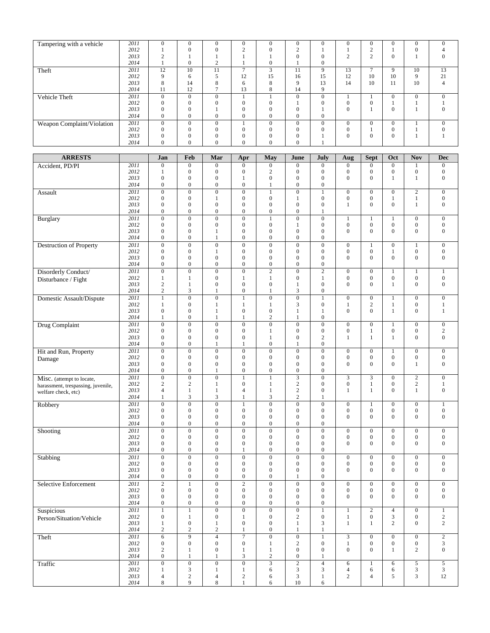| Tampering with a vehicle   | 2011 | $\Omega$     | $\Omega$     | $\Omega$       | 0              | 0                        | $\mathbf{0}$   |             | $\Omega$     | $\mathbf{0}$   | $\Omega$     | $\Omega$       |          |
|----------------------------|------|--------------|--------------|----------------|----------------|--------------------------|----------------|-------------|--------------|----------------|--------------|----------------|----------|
|                            | 2012 |              | 0            |                | $\sim$         |                          | $\sim$         |             |              | $\sim$         |              |                |          |
|                            | 2013 |              |              |                |                |                          | $\overline{0}$ |             | $\sim$       | $\sim$         | $\mathbf{0}$ |                |          |
|                            | 2014 |              | $\Omega$     |                |                | 0                        |                |             |              |                |              |                |          |
| Theft                      | 2011 | 12           | 10           | 11             | $\overline{ }$ | $\overline{\phantom{a}}$ | 11             | $\mathbf Q$ | 13           | $\overline{ }$ | 9            | 10             | 13       |
|                            | 2012 | $\mathbf Q$  | 6            |                | 12             | 15                       | 16             | 15          | 12           | 10             | 10           | 9              | 21       |
|                            | 2013 | 8            | 14           | 8              | 6              | 8                        | $\mathbf Q$    | 13          | 14           | 10             | 11           | 10             |          |
|                            | 2014 | 11           | 12           |                | 13             | 8                        | 14             | $\mathbf Q$ |              |                |              |                |          |
| Vehicle Theft              | 2011 | $\Omega$     | $\mathbf{0}$ | $\Omega$       |                |                          | $\mathbf{0}$   | $\Omega$    |              |                | $\theta$     | $\overline{0}$ | $\Omega$ |
|                            | 2012 | $\Omega$     | $\Omega$     | $\Omega$       | $\Omega$       |                          |                |             | $\Omega$     | $\Omega$       |              |                |          |
|                            | 2013 | $\Omega$     | $\Omega$     |                | $\Omega$       | $\Omega$                 | $\theta$       |             | $\theta$     |                | $\Omega$     |                |          |
|                            | 2014 | $\mathbf{0}$ | $\mathbf{0}$ | $\overline{0}$ | $\overline{0}$ | 0                        | $\mathbf{0}$   |             |              |                |              |                |          |
| Weapon Complaint/Violation | 2011 | $\Omega$     | $\Omega$     | $\Omega$       |                | $\Omega$                 | $\Omega$       | $\Omega$    | $\Omega$     | $\Omega$       | $\mathbf{0}$ |                | $\Omega$ |
|                            | 2012 | $\Omega$     | $\Omega$     | 0              | $\Omega$       | 0                        | $\Omega$       |             | $\Omega$     |                | $\Omega$     |                |          |
|                            | 2013 |              |              |                | $\theta$       |                          | $\Omega$       |             | $\mathbf{0}$ | $\overline{0}$ | $\mathbf{0}$ |                |          |
|                            | 2014 | $\Omega$     | $\Omega$     | $\Omega$       | $\Omega$       | 0                        | $\mathbf{0}$   |             |              |                |              |                |          |

| <b>ARRESTS</b>                     |              | Jan                                  | Feb                                  | Mar                              | Apr                                | May                                  | June                                    | July                                 | Aug                                | <b>Sept</b>                        | Oct                                  | <b>Nov</b>                           | <b>Dec</b>                           |
|------------------------------------|--------------|--------------------------------------|--------------------------------------|----------------------------------|------------------------------------|--------------------------------------|-----------------------------------------|--------------------------------------|------------------------------------|------------------------------------|--------------------------------------|--------------------------------------|--------------------------------------|
| Accident, PD/PI                    | 2011         | $\mathbf{0}$                         | $\boldsymbol{0}$                     | $\boldsymbol{0}$                 | $\mathbf{0}$                       | $\boldsymbol{0}$                     | $\boldsymbol{0}$                        | $\mathbf{0}$                         | $\mathbf{0}$                       | $\mathbf{0}$                       | $\mathbf{0}$                         | $\mathbf{1}$                         | $\mathbf{0}$                         |
|                                    | 2012         | $\mathbf{1}$                         | $\boldsymbol{0}$                     | $\boldsymbol{0}$                 | 0                                  | $\overline{2}$                       | $\boldsymbol{0}$                        | 0                                    | $\mathbf{0}$                       | 0                                  | $\boldsymbol{0}$                     | $\boldsymbol{0}$                     | $\boldsymbol{0}$                     |
|                                    | 2013         | $\boldsymbol{0}$                     | $\boldsymbol{0}$                     | $\boldsymbol{0}$                 | $\mathbf{1}$                       | $\boldsymbol{0}$                     | $\boldsymbol{0}$                        | $\boldsymbol{0}$                     | $\mathbf{0}$                       | $\overline{0}$                     | $\mathbf{1}$                         | $\mathbf{1}$                         | $\boldsymbol{0}$                     |
|                                    | 2014         | $\boldsymbol{0}$                     | $\boldsymbol{0}$                     | $\boldsymbol{0}$                 | $\boldsymbol{0}$                   | 1                                    | $\boldsymbol{0}$                        | 0                                    |                                    |                                    |                                      |                                      |                                      |
| Assault                            | 2011         | $\overline{0}$                       | $\overline{0}$                       | $\overline{0}$                   | $\overline{0}$                     | $\mathbf{1}$                         | $\overline{0}$                          | $\mathbf{1}$                         | $\boldsymbol{0}$                   | $\boldsymbol{0}$                   | $\boldsymbol{0}$                     | $\overline{2}$                       | $\overline{0}$                       |
|                                    | 2012         | $\boldsymbol{0}$                     | $\boldsymbol{0}$                     | $\mathbf{1}$                     | 0                                  | $\boldsymbol{0}$                     | $\mathbf{1}$                            | $\boldsymbol{0}$                     | $\mathbf{0}$                       | 0                                  | $\mathbf{1}$                         | $\mathbf{1}$                         | $\boldsymbol{0}$                     |
|                                    | 2013         | $\mathbf{0}$                         | $\boldsymbol{0}$                     | $\boldsymbol{0}$                 | $\boldsymbol{0}$                   | $\boldsymbol{0}$                     | $\boldsymbol{0}$                        | $\boldsymbol{0}$                     | 1                                  | $\overline{0}$                     | $\overline{0}$                       | $\mathbf{1}$                         | $\boldsymbol{0}$                     |
|                                    | 2014         | $\mathbf{0}$                         | 0                                    | $\boldsymbol{0}$                 | 0                                  | $\boldsymbol{0}$                     | $\boldsymbol{0}$                        | 1                                    |                                    |                                    |                                      |                                      |                                      |
| <b>Burglary</b>                    | 2011         | $\overline{0}$                       | $\overline{0}$                       | $\overline{0}$                   | $\overline{0}$                     | $\mathbf{1}$                         | $\overline{0}$                          | $\boldsymbol{0}$                     | $\mathbf{1}$                       | $\mathbf{1}$                       | $\mathbf{1}$                         | $\boldsymbol{0}$                     | $\boldsymbol{0}$                     |
|                                    | 2012         | $\boldsymbol{0}$                     | $\boldsymbol{0}$                     | $\boldsymbol{0}$                 | $\overline{0}$                     | $\boldsymbol{0}$                     | $\mathbf{1}$                            | $\boldsymbol{0}$                     | $\boldsymbol{0}$                   | $\boldsymbol{0}$                   | $\boldsymbol{0}$                     | $\boldsymbol{0}$                     | $\boldsymbol{0}$                     |
|                                    | 2013         | $\boldsymbol{0}$                     | $\boldsymbol{0}$                     | 1                                | $\boldsymbol{0}$                   | $\boldsymbol{0}$                     | $\boldsymbol{0}$                        | 0                                    | $\mathbf{0}$                       | $\overline{0}$                     | $\mathbf{0}$                         | $\boldsymbol{0}$                     | $\boldsymbol{0}$                     |
|                                    | 2014         | $\mathbf{0}$                         | $\boldsymbol{0}$                     | $\mathbf{1}$                     | $\overline{0}$                     | $\boldsymbol{0}$                     | $\boldsymbol{0}$                        | $\mathbf{0}$                         |                                    |                                    |                                      |                                      |                                      |
| <b>Destruction of Property</b>     | 2011         | $\mathbf{0}$                         | $\mathbf{0}$                         | $\boldsymbol{0}$                 | $\overline{0}$                     | $\mathbf{0}$                         | $\mathbf{0}$                            | $\mathbf{0}$                         | $\boldsymbol{0}$                   | $\mathbf{1}$                       | $\boldsymbol{0}$                     | $\mathbf{1}$                         | $\boldsymbol{0}$                     |
|                                    | 2012         | $\boldsymbol{0}$<br>$\boldsymbol{0}$ | $\boldsymbol{0}$<br>$\boldsymbol{0}$ | $\mathbf{1}$<br>$\boldsymbol{0}$ | $\boldsymbol{0}$<br>0              | $\boldsymbol{0}$<br>$\boldsymbol{0}$ | $\boldsymbol{0}$<br>$\boldsymbol{0}$    | $\boldsymbol{0}$<br>$\boldsymbol{0}$ | $\boldsymbol{0}$<br>$\mathbf{0}$   | $\boldsymbol{0}$<br>$\overline{0}$ | $\mathbf{1}$<br>$\mathbf{0}$         | $\boldsymbol{0}$<br>$\boldsymbol{0}$ | $\boldsymbol{0}$<br>$\boldsymbol{0}$ |
|                                    | 2013<br>2014 | $\boldsymbol{0}$                     | 0                                    | $\boldsymbol{0}$                 | 0                                  | 0                                    | 0                                       | $\mathbf{0}$                         |                                    |                                    |                                      |                                      |                                      |
| Disorderly Conduct/                | 2011         | $\mathbf{0}$                         | $\overline{0}$                       | $\boldsymbol{0}$                 | $\overline{0}$                     | $\overline{2}$                       | $\boldsymbol{0}$                        | $\overline{2}$                       | $\boldsymbol{0}$                   | $\boldsymbol{0}$                   | $\mathbf{1}$                         | $\mathbf{1}$                         | $\mathbf{1}$                         |
|                                    | 2012         | $\mathbf{1}$                         | 1                                    | $\boldsymbol{0}$                 | 1                                  | $\mathbf{1}$                         | $\boldsymbol{0}$                        | 1                                    | $\boldsymbol{0}$                   | $\overline{0}$                     | $\boldsymbol{0}$                     | $\boldsymbol{0}$                     | $\boldsymbol{0}$                     |
| Disturbance / Fight                | 2013         | $\mathbf{2}$                         | $\mathbf{1}$                         | $\boldsymbol{0}$                 | $\boldsymbol{0}$                   | $\boldsymbol{0}$                     | $\mathbf{1}$                            | $\boldsymbol{0}$                     | $\mathbf{0}$                       | $\overline{0}$                     | 1                                    | $\boldsymbol{0}$                     | $\boldsymbol{0}$                     |
|                                    | 2014         | $\mathbf{2}$                         | 3                                    | $\mathbf{1}$                     | $\boldsymbol{0}$                   | $\mathbf{1}$                         | 3                                       | $\boldsymbol{0}$                     |                                    |                                    |                                      |                                      |                                      |
| Domestic Assault/Dispute           | 2011         | $\mathbf{1}$                         | $\overline{0}$                       | $\boldsymbol{0}$                 | $\mathbf{1}$                       | $\boldsymbol{0}$                     | $\overline{0}$                          | $\mathbf{1}$                         | $\boldsymbol{0}$                   | $\boldsymbol{0}$                   | $\mathbf{1}$                         | $\boldsymbol{0}$                     | $\boldsymbol{0}$                     |
|                                    | 2012         | $\mathbf{1}$                         | $\boldsymbol{0}$                     | 1                                | 1                                  | $\mathbf{1}$                         | 3                                       | $\boldsymbol{0}$                     | $\mathbf{1}$                       | $\sqrt{2}$                         | $\mathbf{1}$                         | $\boldsymbol{0}$                     | $\mathbf{1}$                         |
|                                    | 2013         | $\mathbf{0}$                         | $\boldsymbol{0}$                     | $\mathbf{1}$                     | $\boldsymbol{0}$                   | $\boldsymbol{0}$                     | $\mathbf{1}$                            | $\mathbf{1}$                         | $\mathbf{0}$                       | $\overline{0}$                     | $\mathbf{1}$                         | $\boldsymbol{0}$                     | $\mathbf{1}$                         |
|                                    | 2014         | $\mathbf{1}$                         | $\boldsymbol{0}$                     | $\mathbf{1}$                     | 1                                  | $\overline{c}$                       | $\mathbf{1}$                            | $\boldsymbol{0}$                     |                                    |                                    |                                      |                                      |                                      |
| <b>Drug Complaint</b>              | 2011         | $\mathbf{0}$                         | $\boldsymbol{0}$                     | $\boldsymbol{0}$                 | $\boldsymbol{0}$                   | $\boldsymbol{0}$                     | $\boldsymbol{0}$                        | $\boldsymbol{0}$                     | $\boldsymbol{0}$                   | $\boldsymbol{0}$                   | $\mathbf{1}$                         | $\boldsymbol{0}$                     | $\overline{0}$                       |
|                                    | 2012         | $\boldsymbol{0}$                     | $\boldsymbol{0}$                     | $\boldsymbol{0}$                 | $\boldsymbol{0}$                   | 1                                    | 0                                       | $\boldsymbol{0}$                     | $\boldsymbol{0}$                   | $\mathbf{1}$                       | $\boldsymbol{0}$                     | $\boldsymbol{0}$                     | $\sqrt{2}$                           |
|                                    | 2013         | $\boldsymbol{0}$                     | $\boldsymbol{0}$                     | $\boldsymbol{0}$                 | 0                                  | $\mathbf{1}$                         | $\boldsymbol{0}$                        | $\mathfrak{2}$                       | $\mathbf{1}$                       | $\mathbf{1}$                       | $\mathbf{1}$                         | $\boldsymbol{0}$                     | $\boldsymbol{0}$                     |
|                                    | 2014         | $\boldsymbol{0}$                     | $\boldsymbol{0}$                     | $\mathbf{1}$                     | 1                                  | $\boldsymbol{0}$                     | $\mathbf{1}$                            | $\boldsymbol{0}$                     |                                    |                                    |                                      |                                      |                                      |
| Hit and Run, Property              | 2011         | $\overline{0}$                       | $\overline{0}$                       | $\overline{0}$                   | $\overline{0}$                     | $\overline{0}$                       | $\overline{0}$                          | $\overline{0}$                       | $\boldsymbol{0}$                   | $\boldsymbol{0}$                   | $\mathbf{1}$                         | $\boldsymbol{0}$                     | $\boldsymbol{0}$                     |
| Damage                             | 2012         | $\boldsymbol{0}$                     | $\boldsymbol{0}$                     | $\boldsymbol{0}$                 | 0                                  | $\boldsymbol{0}$                     | $\boldsymbol{0}$                        | 0                                    | $\mathbf{0}$                       | $\boldsymbol{0}$                   | $\boldsymbol{0}$                     | $\boldsymbol{0}$                     | $\boldsymbol{0}$                     |
|                                    | 2013<br>2014 | $\mathbf{0}$                         | $\overline{0}$                       | $\boldsymbol{0}$                 | $\overline{0}$<br>$\boldsymbol{0}$ | $\overline{0}$                       | $\boldsymbol{0}$                        | $\mathbf{0}$                         | $\mathbf{0}$                       | $\overline{0}$                     | $\overline{0}$                       | $\mathbf{1}$                         | $\boldsymbol{0}$                     |
|                                    | 2011         | $\boldsymbol{0}$<br>$\overline{0}$   | $\boldsymbol{0}$<br>$\overline{0}$   | $\mathbf{1}$<br>$\overline{0}$   |                                    | $\boldsymbol{0}$                     | $\boldsymbol{0}$                        | $\boldsymbol{0}$                     |                                    |                                    |                                      |                                      |                                      |
| Misc. (attempt to locate,          | 2012         | $\sqrt{2}$                           | $\mathbf{2}$                         | $\mathbf{1}$                     | $\mathbf{1}$<br>0                  | $\mathbf{1}$<br>$\mathbf{1}$         | $\overline{\mathbf{3}}$<br>$\mathbf{2}$ | $\boldsymbol{0}$<br>0                | $\mathfrak{Z}$<br>$\boldsymbol{0}$ | 3<br>$\mathbf{1}$                  | $\boldsymbol{0}$<br>$\boldsymbol{0}$ | $\overline{2}$<br>$\sqrt{2}$         | $\boldsymbol{0}$<br>$\mathbf{1}$     |
| harassment, trespassing, juvenile, | 2013         | $\overline{4}$                       | $\mathbf{1}$                         | $\mathbf{1}$                     | 4                                  | $\mathbf{1}$                         | $\sqrt{2}$                              | $\mathbf{0}$                         | $\mathbf{1}$                       | 1                                  | $\mathbf{0}$                         | $\mathbf{1}$                         | $\boldsymbol{0}$                     |
| welfare check, etc)                | 2014         | $\mathbf{1}$                         | 3                                    | 3                                | $\mathbf{1}$                       | 3                                    | $\overline{c}$                          | 1                                    |                                    |                                    |                                      |                                      |                                      |
| Robbery                            | 2011         | $\overline{0}$                       | $\overline{0}$                       | $\overline{0}$                   | 1                                  | $\overline{0}$                       | $\overline{0}$                          | $\overline{0}$                       | $\boldsymbol{0}$                   | 1                                  | $\mathbf{0}$                         | $\boldsymbol{0}$                     | $\mathbf{1}$                         |
|                                    | 2012         | $\mathbf{0}$                         | $\boldsymbol{0}$                     | $\boldsymbol{0}$                 | 0                                  | $\boldsymbol{0}$                     | $\boldsymbol{0}$                        | $\boldsymbol{0}$                     | $\mathbf{0}$                       | $\boldsymbol{0}$                   | $\boldsymbol{0}$                     | $\boldsymbol{0}$                     | $\boldsymbol{0}$                     |
|                                    | 2013         | $\overline{0}$                       | $\overline{0}$                       | $\boldsymbol{0}$                 | $\overline{0}$                     | $\overline{0}$                       | $\boldsymbol{0}$                        | $\mathbf{0}$                         | $\overline{0}$                     | $\overline{0}$                     | $\overline{0}$                       | $\overline{0}$                       | $\boldsymbol{0}$                     |
|                                    | 2014         | $\boldsymbol{0}$                     | $\boldsymbol{0}$                     | $\mathbf{0}$                     | 0                                  | $\boldsymbol{0}$                     | $\boldsymbol{0}$                        | $\boldsymbol{0}$                     |                                    |                                    |                                      |                                      |                                      |
| Shooting                           | 2011         | $\boldsymbol{0}$                     | $\boldsymbol{0}$                     | $\boldsymbol{0}$                 | $\boldsymbol{0}$                   | $\boldsymbol{0}$                     | $\boldsymbol{0}$                        | $\boldsymbol{0}$                     | $\boldsymbol{0}$                   | $\boldsymbol{0}$                   | $\boldsymbol{0}$                     | $\boldsymbol{0}$                     | $\boldsymbol{0}$                     |
|                                    | 2012         | $\mathbf{0}$                         | $\boldsymbol{0}$                     | $\mathbf{0}$                     | $\overline{0}$                     | $\mathbf{0}$                         | $\boldsymbol{0}$                        | 0                                    | $\boldsymbol{0}$                   | $\boldsymbol{0}$                   | $\boldsymbol{0}$                     | $\boldsymbol{0}$                     | $\boldsymbol{0}$                     |
|                                    | 2013         | $\mathbf{0}$                         | $\boldsymbol{0}$                     | $\boldsymbol{0}$                 | $\boldsymbol{0}$                   | $\boldsymbol{0}$                     | $\boldsymbol{0}$                        | $\mathbf{0}$                         | $\mathbf{0}$                       | $\overline{0}$                     | $\mathbf{0}$                         | $\mathbf{0}$                         | $\boldsymbol{0}$                     |
|                                    | 2014         | $\mathbf{0}$                         | $\overline{0}$                       | $\mathbf{0}$                     | $\mathbf{1}$                       | $\mathbf{0}$                         | $\overline{0}$                          | 0                                    |                                    |                                    |                                      |                                      |                                      |
| Stabbing                           | 2011         | $\boldsymbol{0}$                     | $\boldsymbol{0}$                     | $\boldsymbol{0}$                 | $\overline{0}$                     | $\boldsymbol{0}$                     | $\boldsymbol{0}$                        | $\boldsymbol{0}$                     | $\boldsymbol{0}$                   | $\boldsymbol{0}$                   | $\boldsymbol{0}$                     | $\boldsymbol{0}$                     | $\boldsymbol{0}$                     |
|                                    | 2012         | $\mathbf{0}$                         | $\boldsymbol{0}$                     | $\boldsymbol{0}$                 | $\boldsymbol{0}$                   | $\boldsymbol{0}$                     | $\boldsymbol{0}$                        | $\boldsymbol{0}$                     | $\boldsymbol{0}$                   | $\boldsymbol{0}$                   | $\boldsymbol{0}$                     | $\boldsymbol{0}$                     | $\boldsymbol{0}$                     |
|                                    | 2013<br>2014 | $\mathbf{0}$<br>$\boldsymbol{0}$     | 0<br>$\boldsymbol{0}$                | $\boldsymbol{0}$<br>$\mathbf{0}$ | 0<br>0                             | $\boldsymbol{0}$<br>$\boldsymbol{0}$ | 0<br>$\mathbf{1}$                       | 0<br>$\boldsymbol{0}$                | $\mathbf{0}$                       | $\overline{0}$                     | $\mathbf{0}$                         | $\boldsymbol{0}$                     | $\boldsymbol{0}$                     |
|                                    | 2011         | $\sqrt{2}$                           | $\mathbf{1}$                         | $\boldsymbol{0}$                 | $\overline{c}$                     | $\boldsymbol{0}$                     | $\overline{0}$                          | $\boldsymbol{0}$                     | $\boldsymbol{0}$                   | $\boldsymbol{0}$                   | $\boldsymbol{0}$                     |                                      |                                      |
| Selective Enforcement              | 2012         | $\boldsymbol{0}$                     | $\boldsymbol{0}$                     | $\boldsymbol{0}$                 | 0                                  | $\mathbf{0}$                         | $\boldsymbol{0}$                        | 0                                    | $\mathbf{0}$                       | 0                                  | $\boldsymbol{0}$                     | $\boldsymbol{0}$<br>$\boldsymbol{0}$ | $\boldsymbol{0}$<br>$\boldsymbol{0}$ |
|                                    | 2013         | $\mathbf{0}$                         | 0                                    | $\mathbf{0}$                     | 0                                  | $\mathbf{0}$                         | 0                                       | $\boldsymbol{0}$                     | $\mathbf{0}$                       | $\overline{0}$                     | $\mathbf{0}$                         | $\boldsymbol{0}$                     | $\boldsymbol{0}$                     |
|                                    | 2014         | $\mathbf{0}$                         | $\overline{0}$                       | $\mathbf{0}$                     | $\overline{0}$                     | $\overline{0}$                       | $\overline{0}$                          | $\overline{0}$                       |                                    |                                    |                                      |                                      |                                      |
| Г<br>Suspicious                    | 2011         | $\,1$                                | T.                                   | $\boldsymbol{0}$                 | $\overline{0}$                     | $\boldsymbol{0}$                     | $\boldsymbol{0}$                        | $\mathbf{1}$                         | $\mathbf{1}$                       | $\overline{c}$                     | $\overline{\mathcal{L}}$             | $\boldsymbol{0}$                     | 1                                    |
| Person/Situation/Vehicle           | 2012         | $\boldsymbol{0}$                     | $\mathbf{1}$                         | $\boldsymbol{0}$                 | $\mathbf{1}$                       | $\boldsymbol{0}$                     | $\mathbf{2}$                            | $\boldsymbol{0}$                     | $\mathbf{1}$                       | $\boldsymbol{0}$                   | $\mathfrak{Z}$                       | $\boldsymbol{0}$                     | $\sqrt{2}$                           |
|                                    | 2013         | $\mathbf{1}$                         | $\boldsymbol{0}$                     | $\mathbf{1}$                     | $\boldsymbol{0}$                   | $\mathbf{0}$                         | $\mathbf{1}$                            | 3                                    | $\mathbf{1}$                       | $\mathbf{1}$                       | $\overline{2}$                       | $\boldsymbol{0}$                     | $\overline{c}$                       |
|                                    | 2014         | $\overline{c}$                       | $\sqrt{2}$                           | $\overline{c}$                   | $\mathbf{1}$                       | $\boldsymbol{0}$                     | 1                                       | $\mathbf{1}$                         |                                    |                                    |                                      |                                      |                                      |
| Theft                              | 2011         | 6                                    | 9                                    | $\overline{4}$                   | $\overline{7}$                     | $\overline{0}$                       | $\boldsymbol{0}$                        | $\,1$                                | $\overline{3}$                     | $\overline{0}$                     | $\boldsymbol{0}$                     | $\boldsymbol{0}$                     | $\overline{c}$                       |
|                                    | 2012         | $\boldsymbol{0}$                     | $\boldsymbol{0}$                     | $\boldsymbol{0}$                 | $\boldsymbol{0}$                   | $\mathbf{1}$                         | $\overline{c}$                          | $\boldsymbol{0}$                     | $\mathbf{1}$                       | $\boldsymbol{0}$                   | $\boldsymbol{0}$                     | $\boldsymbol{0}$                     | 3                                    |
|                                    | 2013         | $\sqrt{2}$                           | $\mathbf{1}$                         | $\boldsymbol{0}$                 | $\mathbf{1}$                       | $\mathbf{1}$                         | $\boldsymbol{0}$                        | $\boldsymbol{0}$                     | $\mathbf{0}$                       | $\boldsymbol{0}$                   | $\mathbf{1}$                         | $\sqrt{2}$                           | $\boldsymbol{0}$                     |
|                                    | 2014         | $\boldsymbol{0}$                     | $\mathbf{1}$                         | $\mathbf{1}$                     | 3                                  | $\sqrt{2}$                           | $\boldsymbol{0}$                        | 1                                    |                                    |                                    |                                      |                                      |                                      |
| Traffic                            | 2011         | $\overline{0}$                       | $\overline{0}$                       | $\boldsymbol{0}$                 | $\overline{0}$                     | $\overline{3}$                       | $\overline{2}$                          | $\overline{4}$                       | 6                                  | $\mathbf{1}$                       | 6                                    | $\overline{5}$                       | $\overline{5}$                       |
|                                    | 2012         | $\mathbf{1}$                         | 3                                    | $\mathbf{1}$                     | $\mathbf{1}$                       | 6                                    | $\mathfrak{Z}$                          | $\mathfrak{Z}$                       | $\overline{4}$                     | 6                                  | 6                                    | $\sqrt{3}$                           | $\mathfrak{Z}$                       |
|                                    | 2013         | $\overline{4}$                       | $\overline{c}$                       | 4                                | $\sqrt{2}$                         | 6                                    | $\mathfrak{Z}$                          | $\mathbf{1}$                         | $\overline{c}$                     | $\overline{4}$                     | 5                                    | $\sqrt{3}$                           | 12                                   |
|                                    | 2014         | $\,8\,$                              | 9                                    | $\,8\,$                          | 1                                  | 6                                    | 10                                      | 6                                    |                                    |                                    |                                      |                                      |                                      |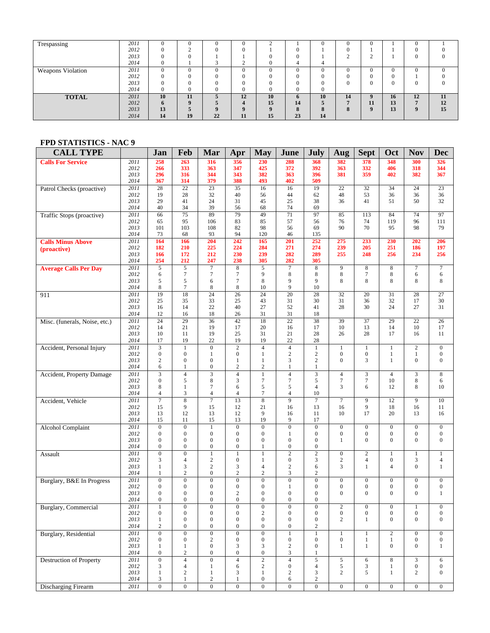| Trespassing       | 2011 |    | 0        |    |          |         |                         |    |        | $\theta$ |    | 0        |    |
|-------------------|------|----|----------|----|----------|---------|-------------------------|----|--------|----------|----|----------|----|
|                   | 2012 |    |          |    | $\Omega$ |         | O                       |    |        |          |    |          |    |
|                   | 2013 |    |          |    |          |         | $\Omega$                |    | $\sim$ | $\sim$   |    | 0        |    |
|                   | 2014 |    |          |    |          |         |                         |    |        |          |    |          |    |
| Weapons Violation | 2011 |    | $\Omega$ | Ò  | $\Omega$ |         | $\Omega$                |    |        | $\Omega$ |    | $\Omega$ |    |
|                   | 2012 |    | 0        |    |          |         |                         |    |        | $\Omega$ |    |          |    |
|                   | 2013 |    |          |    |          |         |                         |    |        | $\Omega$ |    | 0        |    |
|                   | 2014 |    | $\Omega$ |    | $\Omega$ |         | $\Omega$                |    |        |          |    |          |    |
| <b>TOTAL</b>      | 2011 | 10 | 11       |    | 12       | 10      | 6                       | 10 | 14     | $\bf{Q}$ | 16 | 12       | 11 |
|                   | 2012 | h  | $\Omega$ |    |          | 15      | 14                      |    | −      | 11       | 13 | п        | 12 |
|                   | 2013 | 13 |          |    |          | $\bf o$ | $\epsilon$<br>$\bullet$ |    | 8      | $\bf{Q}$ | 13 | $\bf{Q}$ | 15 |
|                   | 2014 | 14 | 19       | 22 | 11       | 15      | 23                      | 14 |        |          |    |          |    |

## **FPD STATISTICS - NAC 9**

| <b>CALL TYPE</b>                 |                           | Jan                          | Feb                                | Mar                                  | Apr                                | <b>May</b>                         | June                                 | <b>July</b>                      | Aug                  | <b>Sept</b>           | Oct                   | <b>Nov</b>           | <b>Dec</b>                     |
|----------------------------------|---------------------------|------------------------------|------------------------------------|--------------------------------------|------------------------------------|------------------------------------|--------------------------------------|----------------------------------|----------------------|-----------------------|-----------------------|----------------------|--------------------------------|
| <b>Calls For Service</b>         | 2011                      | 258                          | 263                                | 316                                  | 356                                | 230                                | 288                                  | 368                              | 382                  | 378                   | 348                   | 300                  | 326                            |
|                                  | 2012                      | 266                          | 333                                | 363                                  | 347                                | 425                                | 372                                  | 392                              | 363                  | 332                   | 406                   | 318                  | 344                            |
|                                  | 2013                      | 296                          | 316                                | 344                                  | 343                                | 382                                | 363                                  | 396                              | 381                  | 359                   | 402                   | 382                  | 367                            |
|                                  | 2014                      | 367                          | 314                                | 379                                  | 388                                | 493                                | 402                                  | 509                              |                      |                       |                       |                      |                                |
| Patrol Checks (proactive)        | 2011                      | 28                           | 22                                 | 23                                   | 35                                 | 16                                 | 16                                   | 19                               | 22                   | 32                    | 34                    | 24                   | 23                             |
|                                  | 2012                      | 19                           | 28                                 | 32                                   | 40                                 | 56                                 | 44                                   | 62                               | 48                   | 53                    | 36                    | 36                   | 36                             |
|                                  | 2013<br>2014              | 29<br>40                     | 41<br>34                           | 24<br>39                             | 31<br>56                           | 45<br>68                           | 25<br>74                             | 38<br>69                         | 36                   | 41                    | 51                    | 50                   | 32                             |
| <b>Traffic Stops (proactive)</b> | 2011                      | 66                           | $\overline{75}$                    | 89                                   | 79                                 | 49                                 | 71                                   | 97                               | 85                   | 113                   | 84                    | 74                   | 97                             |
|                                  | 2012                      | 65                           | 95                                 | 106                                  | 83                                 | 85                                 | 57                                   | 56                               | 76                   | 74                    | 119                   | 96                   | 111                            |
|                                  | 2013                      | 101                          | 103                                | 108                                  | 82                                 | 98                                 | 56                                   | 69                               | 90                   | 70                    | 95                    | 98                   | 79                             |
|                                  | 2014                      | 73                           | 68                                 | 93                                   | 94                                 | 120                                | 46                                   | 135                              |                      |                       |                       |                      |                                |
| <b>Calls Minus Above</b>         | 2011                      | 164                          | 166                                | 204                                  | 242                                | 165                                | 201                                  | 252                              | 275                  | 233                   | 230                   | 202                  | 206                            |
| (proactive)                      | 2012                      | 182                          | 210                                | 225                                  | 224                                | 284                                | 271                                  | 274                              | 239                  | 205                   | 251                   | 186                  | 197                            |
|                                  | 2013                      | 166                          | 172                                | 212                                  | 230                                | 239                                | 282                                  | 289                              | 255                  | 248                   | 256                   | 234                  | 256                            |
|                                  | 2014<br>2011              | 254<br>5                     | 212<br>5                           | 247<br>$\tau$                        | 238<br>8                           | 305<br>5                           | 282<br>$\boldsymbol{7}$              | 305                              | 9                    |                       | $\,8\,$               | 7                    | $\overline{7}$                 |
| <b>Average Calls Per Day</b>     | 2012                      | 6                            | $\tau$                             | $\tau$                               | $\overline{7}$                     | 9                                  | 8                                    | 8<br>8                           | 8                    | 8<br>$\overline{7}$   | 8                     | 6                    | 6                              |
|                                  | 2013                      | 5                            | 5                                  | 6                                    | $\overline{7}$                     | 8                                  | 9                                    | 9                                | 8                    | 8                     | 8                     | 8                    | 8                              |
|                                  | 2014                      | 8                            | $\tau$                             | 8                                    | 8                                  | 10                                 | 9                                    | 10                               |                      |                       |                       |                      |                                |
| 911                              | 2011                      | 19                           | 18                                 | $\overline{24}$                      | $\overline{26}$                    | $\overline{24}$                    | $\overline{20}$                      | 28                               | 32                   | 20                    | 31                    | 28                   | 27                             |
|                                  | 2012                      | 25                           | 35                                 | 33                                   | 25                                 | 43                                 | 31                                   | 30                               | 31                   | 36                    | 32                    | 17                   | 30                             |
|                                  | 2013                      | 16                           | 14                                 | 22                                   | 40                                 | 27                                 | 52                                   | 41                               | 28                   | 30                    | 24                    | 27                   | 31                             |
|                                  | 2014                      | 12                           | 16                                 | 18                                   | 26                                 | 31                                 | 31                                   | 18                               |                      |                       |                       |                      |                                |
| Misc. (funerals, Noise, etc.)    | 2011                      | 24                           | 29                                 | 36                                   | 42                                 | 18                                 | 22                                   | 38                               | 39                   | 37                    | 29                    | 22                   | 26                             |
|                                  | 2012<br>2013              | 14<br>10                     | 21<br>11                           | 19<br>19                             | 17<br>25                           | 20<br>31                           | 16                                   | 17                               | 10<br>26             | 13<br>28              | 14<br>17              | 10<br>16             | 17<br>11                       |
|                                  | 2014                      | 17                           | 19                                 | 22                                   | 19                                 | 19                                 | 21<br>22                             | 28<br>28                         |                      |                       |                       |                      |                                |
| Accident, Personal Injury        | 2011                      | $\overline{\mathbf{3}}$      | $\mathbf{1}$                       | $\mathbf{0}$                         | $\overline{2}$                     | $\overline{4}$                     | $\overline{4}$                       | $\mathbf{1}$                     | $\mathbf{1}$         | $\mathbf{1}$          | $\mathbf{1}$          | $\overline{2}$       | $\mathbf{0}$                   |
|                                  | 2012                      | $\boldsymbol{0}$             | $\boldsymbol{0}$                   | $\mathbf{1}$                         | $\boldsymbol{0}$                   | $\mathbf{1}$                       | $\mathbf{2}$                         | $\mathbf{2}$                     | $\boldsymbol{0}$     | $\boldsymbol{0}$      | $\mathbf{1}$          | 1                    | $\boldsymbol{0}$               |
|                                  | 2013                      | $\overline{c}$               | $\boldsymbol{0}$                   | $\overline{0}$                       | $\mathbf{1}$                       | $\mathbf{1}$                       | 3                                    | $\overline{c}$                   | $\mathbf{0}$         | 3                     | $\mathbf{1}$          | $\mathbf{0}$         | $\mathbf{0}$                   |
|                                  | 2014                      | 6                            | $\mathbf{1}$                       | $\boldsymbol{0}$                     | $\sqrt{2}$                         | $\sqrt{2}$                         | 1                                    | $\mathbf{1}$                     |                      |                       |                       |                      |                                |
| Accident, Property Damage        | 2011                      | $\mathfrak{Z}$               | $\overline{4}$                     | 3                                    | $\overline{4}$                     | $\,1$                              | $\overline{4}$                       | 3                                | $\overline{4}$       | 3                     | $\overline{4}$        | 3                    | $\,8\,$                        |
|                                  | 2012                      | $\boldsymbol{0}$             | 5                                  | 8                                    | 3                                  | 7                                  | 7                                    | 5                                | $\tau$               | $\tau$                | 10                    | 8                    | 6                              |
|                                  | 2013                      | $\,$ 8 $\,$                  | $\mathbf{1}$                       | $\overline{7}$                       | 6                                  | 5                                  | 5                                    | $\overline{4}$                   | 3                    | 6                     | 12                    | 8                    | 10                             |
|                                  | 2014                      | 4                            | $\mathfrak{Z}$                     | $\overline{4}$                       | 4                                  | $\boldsymbol{7}$                   | $\overline{4}$                       | 10                               |                      |                       |                       |                      |                                |
| Accident, Vehicle                | 2011<br>2012              | $\overline{7}$<br>15         | $\overline{8}$<br>9                | $\overline{7}$<br>15                 | 13<br>12                           | $\overline{8}$<br>21               | $\overline{9}$<br>16                 | $\overline{7}$<br>13             | $\overline{7}$<br>16 | $\overline{9}$<br>9   | 12<br>18              | $\overline{9}$<br>16 | $\overline{10}$<br>11          |
|                                  | 2013                      | 13                           | 12                                 | 13                                   | 12                                 | 9                                  | 16                                   | 11                               | 10                   | 17                    | 20                    | 13                   | 16                             |
|                                  | 2014                      | 15                           | 11                                 | 15                                   | 13                                 | 19                                 | 9                                    | 17                               |                      |                       |                       |                      |                                |
| <b>Alcohol Complaint</b>         | 2011                      | $\overline{0}$               | $\overline{0}$                     | $\mathbf{1}$                         | $\overline{0}$                     | $\boldsymbol{0}$                   | $\overline{0}$                       | $\boldsymbol{0}$                 | $\boldsymbol{0}$     | $\overline{0}$        | $\boldsymbol{0}$      | $\overline{0}$       | $\mathbf{0}$                   |
|                                  | 2012                      | $\boldsymbol{0}$             | $\boldsymbol{0}$                   | $\boldsymbol{0}$                     | $\boldsymbol{0}$                   | $\boldsymbol{0}$                   | 1                                    | $\boldsymbol{0}$                 | $\boldsymbol{0}$     | $\boldsymbol{0}$      | $\boldsymbol{0}$      | $\boldsymbol{0}$     | $\boldsymbol{0}$               |
|                                  | 2013                      | $\boldsymbol{0}$             | $\boldsymbol{0}$                   | $\overline{0}$                       | $\boldsymbol{0}$                   | $\boldsymbol{0}$                   | $\overline{0}$                       | $\boldsymbol{0}$                 | $\mathbf{1}$         | $\theta$              | $\overline{0}$        | 0                    | $\mathbf{0}$                   |
|                                  | 2014                      | $\boldsymbol{0}$             | $\boldsymbol{0}$                   | $\boldsymbol{0}$                     | $\boldsymbol{0}$                   | 1                                  | $\boldsymbol{0}$                     | $\boldsymbol{0}$                 |                      |                       |                       |                      |                                |
| Assault                          | 2011                      | $\overline{0}$               | $\overline{0}$                     | $\mathbf{1}$                         | 1                                  | $\mathbf{1}$                       | $\overline{2}$                       | $\overline{2}$                   | $\boldsymbol{0}$     | $\overline{c}$        | $\mathbf{1}$          | $\mathbf{1}$         | $\mathbf{1}$                   |
|                                  | 2012<br>2013              | 3<br>1                       | $\overline{4}$<br>$\mathfrak{Z}$   | $\sqrt{2}$<br>$\mathbf{2}$           | $\boldsymbol{0}$<br>3              | $\mathbf{1}$<br>$\overline{4}$     | $\boldsymbol{0}$<br>$\boldsymbol{2}$ | 3<br>6                           | $\sqrt{2}$<br>3      | 4<br>1                | $\boldsymbol{0}$<br>4 | 3<br>$\mathbf{0}$    | $\overline{4}$<br>$\mathbf{1}$ |
|                                  | 2014                      | $\mathbf{1}$                 | $\overline{c}$                     | $\mathbf{0}$                         | $\mathbf{2}$                       | $\mathbf{2}$                       | 3                                    | $\mathbf{2}$                     |                      |                       |                       |                      |                                |
| Burglary, B&E In Progress        | 2011                      | $\boldsymbol{0}$             | $\boldsymbol{0}$                   | $\mathbf{0}$                         | $\overline{0}$                     | $\boldsymbol{0}$                   | $\mathbf{0}$                         | $\boldsymbol{0}$                 | $\mathbf{0}$         | $\overline{0}$        | $\boldsymbol{0}$      | $\mathbf{0}$         | $\mathbf{0}$                   |
|                                  | 2012                      | $\boldsymbol{0}$             | $\boldsymbol{0}$                   | $\mathbf{0}$                         | $\boldsymbol{0}$                   | $\boldsymbol{0}$                   | 1                                    | $\mathbf{0}$                     | $\boldsymbol{0}$     | $\mathbf{0}$          | $\boldsymbol{0}$      | $\boldsymbol{0}$     | $\boldsymbol{0}$               |
|                                  | 2013                      | $\boldsymbol{0}$             | $\boldsymbol{0}$                   | $\boldsymbol{0}$                     | $\overline{c}$                     | $\boldsymbol{0}$                   | $\boldsymbol{0}$                     | $\boldsymbol{0}$                 | $\mathbf{0}$         | $\mathbf{0}$          | $\mathbf{0}$          | 0                    | $\mathbf{1}$                   |
|                                  | 2014                      | $\boldsymbol{0}$             | $\boldsymbol{0}$                   | $\mathbf{0}$                         | $\boldsymbol{0}$                   | $\boldsymbol{0}$                   | $\mathbf{0}$                         | $\boldsymbol{0}$                 |                      |                       |                       |                      |                                |
| Burglary, Commercial             | <i>2011</i>               | 1                            | $\bf{0}$                           | $\theta$                             | $\mathbf{0}$                       | $\mathbf{0}$                       | $\theta$                             | $\mathbf{0}$                     | $\mathbf{z}$         | $\boldsymbol{\theta}$ | $\theta$              | 1                    | $\theta$                       |
|                                  | 2012                      | $\boldsymbol{0}$             | $\boldsymbol{0}$                   | $\boldsymbol{0}$                     | $\boldsymbol{0}$                   | $\,2$                              | $\boldsymbol{0}$                     | $\boldsymbol{0}$                 | $\boldsymbol{0}$     | $\boldsymbol{0}$      | $\boldsymbol{0}$      | $\boldsymbol{0}$     | $\boldsymbol{0}$               |
|                                  | 2013                      | $\mathbf{1}$                 | $\boldsymbol{0}$                   | $\boldsymbol{0}$                     | $\boldsymbol{0}$                   | $\boldsymbol{0}$                   | $\boldsymbol{0}$<br>$\boldsymbol{0}$ | $\boldsymbol{0}$                 | 2                    | $\mathbf{1}$          | $\boldsymbol{0}$      | $\boldsymbol{0}$     | $\boldsymbol{0}$               |
| Burglary, Residential            | 2014<br>$\overline{2011}$ | $\sqrt{2}$<br>$\overline{0}$ | $\boldsymbol{0}$<br>$\overline{0}$ | $\boldsymbol{0}$<br>$\boldsymbol{0}$ | $\boldsymbol{0}$<br>$\overline{0}$ | $\boldsymbol{0}$<br>$\overline{0}$ | $\mathbf{1}$                         | $\boldsymbol{2}$<br>$\mathbf{1}$ | $\mathbf{1}$         | $\mathbf{1}$          | $\overline{2}$        | $\boldsymbol{0}$     | $\boldsymbol{0}$               |
|                                  | 2012                      | $\boldsymbol{0}$             | $\boldsymbol{0}$                   | $\sqrt{2}$                           | $\boldsymbol{0}$                   | $\boldsymbol{0}$                   | $\boldsymbol{0}$                     | $\boldsymbol{0}$                 | $\boldsymbol{0}$     | $\mathbf{1}$          | $\mathbf{1}$          | $\boldsymbol{0}$     | $\boldsymbol{0}$               |
|                                  | 2013                      | $\mathbf{1}$                 | $\mathbf{1}$                       | $\boldsymbol{0}$                     | 3                                  | 3                                  | $\sqrt{2}$                           | $\boldsymbol{0}$                 | $\mathbf{1}$         | $\mathbf{1}$          | $\boldsymbol{0}$      | 0                    | $\mathbf{1}$                   |
|                                  | 2014                      | $\boldsymbol{0}$             | $\sqrt{2}$                         | $\boldsymbol{0}$                     | $\boldsymbol{0}$                   | $\boldsymbol{0}$                   | 3                                    | $\mathbf{1}$                     |                      |                       |                       |                      |                                |
| <b>Destruction of Property</b>   | 2011                      | $\overline{0}$               | $\overline{4}$                     | $\overline{0}$                       | $\overline{4}$                     | $\overline{2}$                     | $\overline{4}$                       | $\overline{5}$                   | $\sqrt{5}$           | 6                     | $\overline{\bf 8}$    | 3                    | $\sqrt{6}$                     |
|                                  | 2012                      | 3                            | $\overline{4}$                     | 1                                    | 6                                  | $\overline{c}$                     | $\boldsymbol{0}$                     | $\overline{4}$                   | 5                    | 3                     | $\mathbf{1}$          | $\boldsymbol{0}$     | $\mathbf{0}$                   |
|                                  | 2013                      | $\mathbf{1}$                 | $\sqrt{2}$                         | $\mathbf{1}$                         | 3                                  | $\mathbf{1}$                       | $\boldsymbol{2}$                     | 3                                | $\overline{c}$       | 5                     | $\mathbf{1}$          | $\overline{c}$       | $\boldsymbol{0}$               |
|                                  | 2014                      | $\mathfrak{Z}$               | $\mathbf{1}$                       | $\sqrt{2}$                           | $\mathbf{1}$                       | $\boldsymbol{0}$                   | 6                                    | $\sqrt{2}$                       |                      |                       |                       |                      |                                |
| <b>Discharging Firearm</b>       | 2011                      | $\overline{0}$               | $\overline{0}$                     | $\overline{0}$                       | $\overline{0}$                     | $\overline{0}$                     | $\overline{0}$                       | $\overline{0}$                   | $\overline{0}$       | $\overline{0}$        | $\overline{0}$        | $\overline{0}$       | $\overline{0}$                 |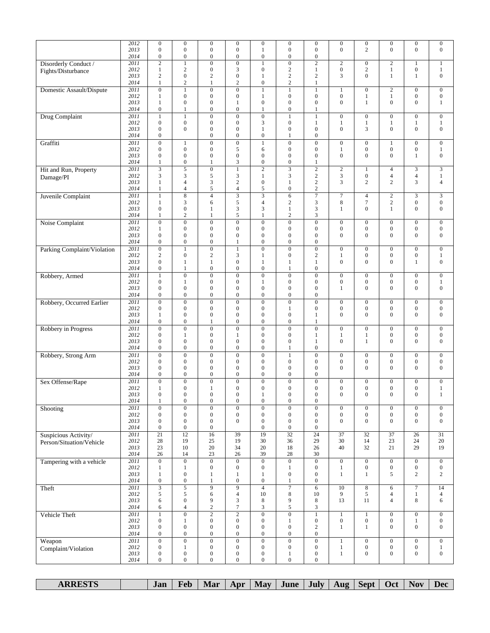|                             | 2012<br>2013<br>2014 | $\boldsymbol{0}$<br>$\boldsymbol{0}$<br>$\boldsymbol{0}$ | $\boldsymbol{0}$<br>$\boldsymbol{0}$<br>$\boldsymbol{0}$ | $\boldsymbol{0}$<br>$\boldsymbol{0}$<br>$\boldsymbol{0}$ | $\boldsymbol{0}$<br>$\boldsymbol{0}$<br>$\boldsymbol{0}$ | $\boldsymbol{0}$<br>1<br>$\boldsymbol{0}$ | $\boldsymbol{0}$<br>$\boldsymbol{0}$<br>$\boldsymbol{0}$ | $\boldsymbol{0}$<br>$\boldsymbol{0}$<br>$\boldsymbol{0}$ | $\boldsymbol{0}$<br>$\overline{0}$   | $\boldsymbol{0}$<br>$\overline{c}$   | $\boldsymbol{0}$<br>$\mathbf{0}$     | $\boldsymbol{0}$<br>$\boldsymbol{0}$ | $\boldsymbol{0}$<br>$\boldsymbol{0}$ |
|-----------------------------|----------------------|----------------------------------------------------------|----------------------------------------------------------|----------------------------------------------------------|----------------------------------------------------------|-------------------------------------------|----------------------------------------------------------|----------------------------------------------------------|--------------------------------------|--------------------------------------|--------------------------------------|--------------------------------------|--------------------------------------|
| Disorderly Conduct /        | 2011                 | $\overline{2}$                                           | $\mathbf{1}$                                             | $\overline{0}$                                           | $\overline{0}$                                           | $\mathbf{1}$                              | $\overline{0}$                                           | $\overline{2}$                                           | $\overline{2}$                       | $\boldsymbol{0}$                     | $\overline{2}$                       | 1                                    | $\mathbf{1}$                         |
| Fights/Disturbance          | 2012                 | $\mathbf{1}$                                             | $\sqrt{2}$                                               | $\boldsymbol{0}$                                         | 3                                                        | $\boldsymbol{0}$                          | $\mathbf{2}$                                             | $\mathbf{1}$                                             | $\boldsymbol{0}$                     | $\sqrt{2}$                           | $\,1$                                | $\boldsymbol{0}$                     | $\mathbf{1}$                         |
|                             | 2013<br>2014         | $\overline{c}$<br>$\mathbf{1}$                           | $\boldsymbol{0}$<br>$\sqrt{2}$                           | $\overline{c}$<br>1                                      | $\boldsymbol{0}$<br>$\sqrt{2}$                           | $\mathbf{1}$<br>$\boldsymbol{0}$          | $\overline{c}$<br>$\boldsymbol{2}$                       | $\sqrt{2}$<br>1                                          | 3                                    | $\overline{0}$                       | $\mathbf{1}$                         | $\mathbf{1}$                         | $\boldsymbol{0}$                     |
| Domestic Assault/Dispute    | 2011                 | $\overline{0}$                                           | $\mathbf{1}$                                             | $\boldsymbol{0}$                                         | $\overline{0}$                                           | $\mathbf{1}$                              | $\mathbf{1}$                                             | $\mathbf{1}$                                             | $\mathbf{1}$                         | $\boldsymbol{0}$                     | $\mathbf{2}$                         | $\boldsymbol{0}$                     | $\boldsymbol{0}$                     |
|                             | 2012                 | $\mathbf{1}$                                             | $\boldsymbol{0}$                                         | $\boldsymbol{0}$                                         | $\boldsymbol{0}$                                         | $\mathbf{1}$                              | $\boldsymbol{0}$                                         | $\boldsymbol{0}$                                         | $\boldsymbol{0}$                     | $\mathbf{1}$                         | $\mathbf{1}$                         | $\boldsymbol{0}$                     | $\boldsymbol{0}$                     |
|                             | 2013                 | $\mathbf{1}$                                             | $\boldsymbol{0}$                                         | $\boldsymbol{0}$                                         | 1                                                        | $\boldsymbol{0}$                          | $\boldsymbol{0}$                                         | $\mathbf{0}$                                             | $\boldsymbol{0}$                     | $\mathbf{1}$                         | $\boldsymbol{0}$                     | $\boldsymbol{0}$                     | $\mathbf{1}$                         |
| Drug Complaint              | 2014<br>2011         | $\boldsymbol{0}$<br>$\mathbf{1}$                         | 1<br>$\mathbf{1}$                                        | $\boldsymbol{0}$<br>$\overline{0}$                       | $\boldsymbol{0}$<br>$\overline{0}$                       | $\mathbf{1}$<br>$\overline{0}$            | $\boldsymbol{0}$<br>$\mathbf{1}$                         | 1<br>$\mathbf{1}$                                        | $\mathbf{0}$                         | $\boldsymbol{0}$                     | $\mathbf{0}$                         | $\mathbf{0}$                         | $\boldsymbol{0}$                     |
|                             | 2012                 | $\boldsymbol{0}$                                         | $\boldsymbol{0}$                                         | $\boldsymbol{0}$                                         | $\overline{0}$                                           | 3                                         | $\boldsymbol{0}$                                         | $\mathbf{1}$                                             | $\mathbf{1}$                         | $\mathbf{1}$                         | $\,1$                                | 1                                    | $\,1$                                |
|                             | 2013                 | $\boldsymbol{0}$                                         | $\boldsymbol{0}$                                         | $\boldsymbol{0}$                                         | $\boldsymbol{0}$                                         | $\mathbf{1}$                              | $\boldsymbol{0}$                                         | $\boldsymbol{0}$                                         | $\boldsymbol{0}$                     | 3                                    | $\boldsymbol{0}$                     | $\boldsymbol{0}$                     | $\boldsymbol{0}$                     |
|                             | 2014<br>2011         | $\boldsymbol{0}$<br>$\boldsymbol{0}$                     |                                                          | $\boldsymbol{0}$<br>$\overline{0}$                       | $\boldsymbol{0}$<br>$\boldsymbol{0}$                     | $\boldsymbol{0}$<br>$\mathbf{1}$          | 1<br>$\boldsymbol{0}$                                    | $\boldsymbol{0}$<br>$\boldsymbol{0}$                     | $\boldsymbol{0}$                     | $\boldsymbol{0}$                     |                                      | $\overline{0}$                       | $\boldsymbol{0}$                     |
| Graffiti                    | 2012                 | $\boldsymbol{0}$                                         | $\mathbf{1}$<br>$\boldsymbol{0}$                         | $\boldsymbol{0}$                                         | 5                                                        | 6                                         | $\boldsymbol{0}$                                         | $\boldsymbol{0}$                                         | $1\,$                                | $\boldsymbol{0}$                     | $\mathbf{1}$<br>$\boldsymbol{0}$     | $\boldsymbol{0}$                     | $\mathbf{1}$                         |
|                             | 2013                 | $\boldsymbol{0}$                                         | $\boldsymbol{0}$                                         | $\boldsymbol{0}$                                         | $\boldsymbol{0}$                                         | $\boldsymbol{0}$                          | $\mathbf{0}$                                             | $\boldsymbol{0}$                                         | $\boldsymbol{0}$                     | $\boldsymbol{0}$                     | $\boldsymbol{0}$                     | 1                                    | $\boldsymbol{0}$                     |
|                             | 2014                 | $\mathbf{1}$                                             | $\boldsymbol{0}$                                         | $\mathbf{1}$                                             | 3                                                        | $\boldsymbol{0}$                          | $\boldsymbol{0}$                                         | $\mathbf{1}$                                             |                                      |                                      |                                      |                                      |                                      |
| Hit and Run, Property       | 2011<br>2012         | $\overline{\mathbf{3}}$<br>3                             | $\sqrt{5}$<br>$\mathfrak 3$                              | $\boldsymbol{0}$<br>5                                    | $\mathbf{1}$<br>3                                        | $\mathfrak{2}$<br>1                       | 3<br>3                                                   | $\overline{c}$<br>$\boldsymbol{2}$                       | $\overline{c}$<br>3                  | $\mathbf{1}$<br>$\boldsymbol{0}$     | $\overline{4}$<br>4                  | 3<br>$\overline{4}$                  | 3<br>$\mathbf{1}$                    |
| Damage/PI                   | 2013                 | $\mathbf{1}$                                             | $\overline{4}$                                           | 3                                                        | $\overline{c}$                                           | $\boldsymbol{0}$                          | 1                                                        | $\boldsymbol{2}$                                         | 3                                    | $\mathbf{2}$                         | $\overline{c}$                       | 3                                    | $\overline{4}$                       |
|                             | 2014                 | $\mathbf{1}$                                             | $\overline{4}$                                           | 5                                                        | $\overline{4}$                                           | 5                                         | $\boldsymbol{0}$                                         | $\overline{c}$                                           |                                      |                                      |                                      |                                      |                                      |
| Juvenile Complaint          | 2011<br>2012         | $\mathbf{1}$<br>$\mathbf{1}$                             | $\overline{8}$<br>$\mathfrak{Z}$                         | $\overline{4}$<br>6                                      | $\overline{\mathbf{3}}$<br>5                             | $\overline{\mathbf{3}}$<br>$\overline{4}$ | 6<br>$\boldsymbol{2}$                                    | 7<br>3                                                   | $\tau$<br>8                          | $\overline{4}$<br>$\tau$             | $\sqrt{2}$<br>$\sqrt{2}$             | 3<br>$\boldsymbol{0}$                | 3<br>$\boldsymbol{0}$                |
|                             | 2013                 | $\boldsymbol{0}$                                         | $\boldsymbol{0}$                                         | $\mathbf{1}$                                             | 3                                                        | 3                                         | $\mathbf{1}$                                             | 3                                                        | $\mathbf{1}$                         | $\overline{0}$                       | $\mathbf{1}$                         | $\boldsymbol{0}$                     | $\boldsymbol{0}$                     |
|                             | 2014                 | $\mathbf{1}$                                             | $\overline{c}$                                           | 1                                                        | 5                                                        | $\mathbf{1}$                              | $\mathbf{2}$                                             | 3                                                        |                                      |                                      |                                      |                                      |                                      |
| Noise Complaint             | 2011                 | $\boldsymbol{0}$                                         | $\boldsymbol{0}$                                         | $\overline{0}$                                           | $\mathbf{0}$                                             | $\boldsymbol{0}$                          | $\boldsymbol{0}$                                         | $\overline{0}$                                           | $\boldsymbol{0}$                     | $\boldsymbol{0}$                     | $\boldsymbol{0}$                     | $\boldsymbol{0}$                     | $\boldsymbol{0}$                     |
|                             | 2012<br>2013         | 1<br>$\boldsymbol{0}$                                    | $\boldsymbol{0}$<br>$\boldsymbol{0}$                     | $\mathbf{0}$<br>$\overline{0}$                           | $\boldsymbol{0}$<br>$\boldsymbol{0}$                     | $\boldsymbol{0}$<br>$\boldsymbol{0}$      | $\mathbf{0}$<br>$\boldsymbol{0}$                         | $\boldsymbol{0}$<br>$\boldsymbol{0}$                     | $\boldsymbol{0}$<br>$\boldsymbol{0}$ | $\boldsymbol{0}$<br>$\overline{0}$   | $\boldsymbol{0}$<br>$\mathbf{0}$     | $\boldsymbol{0}$<br>$\boldsymbol{0}$ | $\boldsymbol{0}$<br>$\boldsymbol{0}$ |
|                             | 2014                 | $\boldsymbol{0}$                                         | $\boldsymbol{0}$                                         | $\boldsymbol{0}$                                         | 1                                                        | $\boldsymbol{0}$                          | $\overline{0}$                                           | $\boldsymbol{0}$                                         |                                      |                                      |                                      |                                      |                                      |
| Parking Complaint/Violation | 2011                 | $\overline{0}$                                           | $\mathbf{1}$                                             | $\overline{0}$                                           | $\mathbf{1}$                                             | $\overline{0}$                            | $\overline{0}$                                           | $\overline{0}$                                           | $\mathbf{0}$                         | $\boldsymbol{0}$                     | $\mathbf{0}$                         | $\overline{0}$                       | $\mathbf{0}$                         |
|                             | 2012<br>2013         | $\overline{c}$<br>$\boldsymbol{0}$                       | $\boldsymbol{0}$<br>$\mathbf{1}$                         | $\overline{c}$<br>1                                      | 3<br>$\boldsymbol{0}$                                    | $\mathbf{1}$<br>$\mathbf{1}$              | $\boldsymbol{0}$<br>1                                    | $\mathbf{2}$<br>$\mathbf{1}$                             | $\mathbf{1}$<br>$\boldsymbol{0}$     | $\boldsymbol{0}$<br>$\mathbf{0}$     | $\boldsymbol{0}$<br>$\mathbf{0}$     | $\mathbf{0}$<br>$\mathbf{1}$         | $\mathbf{1}$<br>$\boldsymbol{0}$     |
|                             | 2014                 | $\boldsymbol{0}$                                         | $\mathbf{1}$                                             | $\boldsymbol{0}$                                         | $\boldsymbol{0}$                                         | $\boldsymbol{0}$                          | 1                                                        | $\boldsymbol{0}$                                         |                                      |                                      |                                      |                                      |                                      |
| Robbery, Armed              | 2011                 | $\mathbf{1}$                                             | $\overline{0}$                                           | $\boldsymbol{0}$                                         | $\boldsymbol{0}$                                         | $\overline{0}$                            | $\boldsymbol{0}$                                         | $\overline{0}$                                           | $\boldsymbol{0}$                     | $\boldsymbol{0}$                     | $\boldsymbol{0}$                     | $\boldsymbol{0}$                     | $\boldsymbol{0}$                     |
|                             | 2012                 | $\boldsymbol{0}$                                         | $\mathbf{1}$                                             | $\boldsymbol{0}$                                         | $\boldsymbol{0}$                                         | $\mathbf{1}$                              | $\boldsymbol{0}$                                         | $\boldsymbol{0}$                                         | $\boldsymbol{0}$                     | $\boldsymbol{0}$                     | $\boldsymbol{0}$                     | $\boldsymbol{0}$                     | $\mathbf{1}$                         |
|                             | 2013<br>2014         | $\mathbf{0}$<br>$\boldsymbol{0}$                         | $\mathbf{0}$<br>$\boldsymbol{0}$                         | $\overline{0}$<br>$\boldsymbol{0}$                       | $\boldsymbol{0}$<br>$\boldsymbol{0}$                     | $\boldsymbol{0}$<br>$\boldsymbol{0}$      | $\overline{0}$<br>$\boldsymbol{0}$                       | $\overline{0}$<br>$\boldsymbol{0}$                       | $\mathbf{1}$                         | $\overline{0}$                       | $\mathbf{0}$                         | $\mathbf{0}$                         | $\boldsymbol{0}$                     |
| Robbery, Occurred Earlier   | 2011                 | $\overline{0}$                                           | $\overline{0}$                                           | $\boldsymbol{0}$                                         | $\overline{0}$                                           | $\overline{0}$                            | $\boldsymbol{0}$                                         | $\overline{0}$                                           | $\mathbf{0}$                         | $\boldsymbol{0}$                     | $\mathbf{0}$                         | $\mathbf{0}$                         | $\boldsymbol{0}$                     |
|                             | 2012                 | $\boldsymbol{0}$                                         | $\boldsymbol{0}$                                         | $\boldsymbol{0}$                                         | $\boldsymbol{0}$                                         | $\boldsymbol{0}$                          | 1                                                        | $\boldsymbol{0}$                                         | $\boldsymbol{0}$                     | $\boldsymbol{0}$                     | $\boldsymbol{0}$                     | $\boldsymbol{0}$                     | $\boldsymbol{0}$                     |
|                             | 2013<br>2014         | $\mathbf{1}$<br>$\boldsymbol{0}$                         | $\mathbf{0}$<br>$\boldsymbol{0}$                         | $\mathbf{0}$<br>$\mathbf{1}$                             | $\overline{0}$<br>$\boldsymbol{0}$                       | $\boldsymbol{0}$<br>$\boldsymbol{0}$      | $\mathbf{0}$<br>$\boldsymbol{0}$                         | 1<br>$\mathbf{1}$                                        | $\overline{0}$                       | $\overline{0}$                       | $\mathbf{0}$                         | $\mathbf{0}$                         | $\boldsymbol{0}$                     |
| Robbery in Progress         | 2011                 | $\boldsymbol{0}$                                         | $\boldsymbol{0}$                                         | $\boldsymbol{0}$                                         | $\boldsymbol{0}$                                         | $\boldsymbol{0}$                          | $\boldsymbol{0}$                                         | $\boldsymbol{0}$                                         | $\boldsymbol{0}$                     | $\boldsymbol{0}$                     | $\boldsymbol{0}$                     | $\boldsymbol{0}$                     | $\boldsymbol{0}$                     |
|                             | 2012                 | $\boldsymbol{0}$                                         | $\mathbf{1}$                                             | $\boldsymbol{0}$                                         | 1                                                        | $\boldsymbol{0}$                          | $\boldsymbol{0}$                                         | 1                                                        | $\mathbf{1}$                         | 1                                    | $\boldsymbol{0}$                     | $\boldsymbol{0}$                     | $\boldsymbol{0}$                     |
|                             | 2013<br>2014         | $\boldsymbol{0}$<br>$\boldsymbol{0}$                     | $\boldsymbol{0}$<br>$\mathbf{0}$                         | $\boldsymbol{0}$<br>$\boldsymbol{0}$                     | $\boldsymbol{0}$<br>$\mathbf{0}$                         | $\boldsymbol{0}$<br>$\boldsymbol{0}$      | $\mathbf{0}$<br>$\mathbf{1}$                             | $\mathbf{1}$<br>$\boldsymbol{0}$                         | $\boldsymbol{0}$                     | $\mathbf{1}$                         | $\mathbf{0}$                         | $\mathbf{0}$                         | $\mathbf{0}$                         |
| Robbery, Strong Arm         | 2011                 | $\overline{0}$                                           | $\boldsymbol{0}$                                         | $\boldsymbol{0}$                                         | $\overline{0}$                                           | $\overline{0}$                            | $\mathbf{1}$                                             | $\overline{0}$                                           | $\boldsymbol{0}$                     | $\boldsymbol{0}$                     | $\boldsymbol{0}$                     | $\overline{0}$                       | $\boldsymbol{0}$                     |
|                             | 2012                 | $\boldsymbol{0}$                                         | $\boldsymbol{0}$                                         | $\boldsymbol{0}$                                         | $\boldsymbol{0}$                                         | $\boldsymbol{0}$                          | $\boldsymbol{0}$                                         | $\boldsymbol{0}$                                         | $\boldsymbol{0}$                     | $\boldsymbol{0}$                     | $\boldsymbol{0}$                     | $\boldsymbol{0}$                     | $\boldsymbol{0}$                     |
|                             | 2013                 | $\boldsymbol{0}$                                         | $\boldsymbol{0}$                                         | $\boldsymbol{0}$                                         | $\boldsymbol{0}$<br>$\overline{0}$                       | $\boldsymbol{0}$                          | $\mathbf{0}$                                             | $\boldsymbol{0}$                                         | $\boldsymbol{0}$                     | $\mathbf{0}$                         | $\boldsymbol{0}$                     | $\boldsymbol{0}$                     | $\boldsymbol{0}$                     |
| Sex Offense/Rape            | 2014<br>2011         | $\boldsymbol{0}$<br>$\boldsymbol{0}$                     | $\boldsymbol{0}$<br>$\boldsymbol{0}$                     | $\boldsymbol{0}$<br>$\boldsymbol{0}$                     | $\boldsymbol{0}$                                         | $\boldsymbol{0}$<br>$\boldsymbol{0}$      | $\boldsymbol{0}$<br>$\boldsymbol{0}$                     | $\boldsymbol{0}$<br>$\boldsymbol{0}$                     | $\boldsymbol{0}$                     | $\boldsymbol{0}$                     | $\boldsymbol{0}$                     | $\boldsymbol{0}$                     | $\boldsymbol{0}$                     |
|                             | 2012                 | 1                                                        | $\boldsymbol{0}$                                         | 1                                                        | $\boldsymbol{0}$                                         | $\boldsymbol{0}$                          | $\boldsymbol{0}$                                         | $\boldsymbol{0}$                                         | $\boldsymbol{0}$                     | $\boldsymbol{0}$                     | $\boldsymbol{0}$                     | $\boldsymbol{0}$                     | 1                                    |
|                             | 2013                 | $\mathbf{0}$                                             | $\mathbf{0}$                                             | $\overline{0}$                                           | $\mathbf{0}$                                             | 1                                         | $\overline{0}$                                           | $\overline{0}$                                           | $\overline{0}$                       | $\overline{0}$                       | $\overline{0}$                       | $\mathbf{0}$                         | $\mathbf{1}$                         |
|                             | 2014<br>2011         | 1<br>$\overline{0}$                                      | $\boldsymbol{0}$<br>$\overline{0}$                       | $\boldsymbol{0}$<br>$\overline{0}$                       | $\boldsymbol{0}$<br>$\overline{0}$                       | $\boldsymbol{0}$<br>$\overline{0}$        | $\boldsymbol{0}$<br>$\overline{0}$                       | $\boldsymbol{0}$<br>$\overline{0}$                       | $\boldsymbol{0}$                     | $\boldsymbol{0}$                     | $\boldsymbol{0}$                     | $\mathbf{0}$                         | $\boldsymbol{0}$                     |
| Shooting                    | 2012                 | $\boldsymbol{0}$                                         | $\boldsymbol{0}$                                         | $\boldsymbol{0}$                                         | $\boldsymbol{0}$                                         | $\boldsymbol{0}$                          | $\boldsymbol{0}$                                         | $\boldsymbol{0}$                                         | $\overline{0}$                       | $\boldsymbol{0}$                     | $\boldsymbol{0}$                     | $\boldsymbol{0}$                     | $\boldsymbol{0}$                     |
|                             | 2013                 | $\boldsymbol{0}$                                         | $\boldsymbol{0}$                                         | $\boldsymbol{0}$                                         | $\boldsymbol{0}$                                         | $\boldsymbol{0}$                          | $\boldsymbol{0}$                                         | $\boldsymbol{0}$                                         | $\boldsymbol{0}$                     | $\boldsymbol{0}$                     | $\overline{0}$                       | $\mathbf{0}$                         | $\overline{0}$                       |
| Suspicious Activity/        | 2014<br>2011         | $\boldsymbol{0}$<br>$\overline{21}$                      | $\boldsymbol{0}$<br>12                                   | $\boldsymbol{0}$<br>16                                   | 39                                                       | $\boldsymbol{0}$<br>19                    | $\boldsymbol{0}$<br>32                                   | $\boldsymbol{0}$<br>24                                   | 37                                   | 32                                   | 37                                   | 26                                   | 31                                   |
| Person/Situation/Vehicle    | 2012                 | 28                                                       | 19                                                       | 25                                                       | 19                                                       | 30                                        | 36                                                       | 29                                                       | 30                                   | 14                                   | 23                                   | 24                                   | 20                                   |
|                             | 2013                 | 23                                                       | 10                                                       | 20                                                       | 34                                                       | 20                                        | 18                                                       | 26                                                       | 40                                   | 32                                   | 21                                   | 29                                   | 19                                   |
|                             | 2014<br>2011         | 26<br>$\overline{0}$                                     | 14<br>$\overline{0}$                                     | 23<br>$\overline{0}$                                     | 26<br>$\overline{0}$                                     | 39<br>$\overline{0}$                      | 28<br>$\overline{0}$                                     | 30<br>$\overline{0}$                                     | $\overline{0}$                       | $\overline{0}$                       | $\overline{0}$                       | $\overline{0}$                       | $\overline{0}$                       |
| Tampering with a vehicle    | 2012                 | $\mathbf{1}$                                             | $\mathbf{1}$                                             | $\boldsymbol{0}$                                         | $\boldsymbol{0}$                                         | $\boldsymbol{0}$                          | $\mathbf{1}$                                             | $\boldsymbol{0}$                                         | $\mathbf{1}$                         | $\boldsymbol{0}$                     | $\boldsymbol{0}$                     | $\boldsymbol{0}$                     | $\mathbf{0}$                         |
|                             | 2013                 | $\mathbf{1}$                                             | $\boldsymbol{0}$                                         | 1                                                        | 1                                                        | $\mathbf{1}$                              | $\boldsymbol{0}$                                         | $\boldsymbol{0}$                                         | $\mathbf{1}$                         | $\mathbf{1}$                         | 5                                    | $\overline{c}$                       | $\overline{c}$                       |
|                             | 2014                 | $\boldsymbol{0}$                                         | $\boldsymbol{0}$                                         | $\mathbf{1}$                                             | $\boldsymbol{0}$                                         | $\boldsymbol{0}$                          | $\mathbf{1}$                                             | $\boldsymbol{0}$                                         |                                      |                                      |                                      |                                      |                                      |
| Theft                       | 2011<br>2012         | $\overline{\mathbf{3}}$<br>5                             | $\overline{5}$<br>5                                      | $\overline{9}$<br>6                                      | $\overline{9}$<br>$\overline{4}$                         | $\overline{4}$<br>10                      | $\overline{7}$<br>8                                      | $\overline{6}$<br>10                                     | 10<br>9                              | $\overline{\bf 8}$<br>5              | 6<br>$\overline{4}$                  | $\overline{7}$<br>$\mathbf{1}$       | 14<br>$\overline{4}$                 |
|                             | 2013                 | 6                                                        | $\boldsymbol{0}$                                         | 9                                                        | 3                                                        | 8                                         | 9                                                        | 8                                                        | 13                                   | 11                                   | 4                                    | 8                                    | 6                                    |
|                             | 2014                 | 6                                                        | $\overline{4}$                                           | $\overline{c}$                                           | $\tau$                                                   | 3                                         | 5                                                        | 3                                                        |                                      |                                      |                                      |                                      |                                      |
| Vehicle Theft               | 2011<br>2012         | $\mathbf{1}$<br>$\boldsymbol{0}$                         | $\overline{0}$                                           | $\overline{2}$<br>$\boldsymbol{0}$                       | $\overline{2}$<br>$\boldsymbol{0}$                       | $\overline{0}$<br>$\boldsymbol{0}$        | $\overline{0}$                                           | $\mathbf{1}$                                             | $\mathbf{1}$<br>$\boldsymbol{0}$     | $\mathbf{1}$<br>$\boldsymbol{0}$     | $\boldsymbol{0}$<br>$\mathbf{0}$     | $\mathbf{0}$                         | $\overline{0}$<br>$\overline{0}$     |
|                             | 2013                 | $\boldsymbol{0}$                                         | $\mathbf{1}$<br>$\boldsymbol{0}$                         | $\boldsymbol{0}$                                         | $\boldsymbol{0}$                                         | $\boldsymbol{0}$                          | $\mathbf{1}$<br>$\boldsymbol{0}$                         | $\boldsymbol{0}$<br>$\mathbf{2}$                         | $\mathbf{1}$                         | $\mathbf{1}$                         | $\overline{0}$                       | $\mathbf{1}$<br>$\mathbf{0}$         | $\overline{0}$                       |
|                             | 2014                 | $\boldsymbol{0}$                                         | $\boldsymbol{0}$                                         | $\boldsymbol{0}$                                         | $\boldsymbol{0}$                                         | $\boldsymbol{0}$                          | $\boldsymbol{0}$                                         | $\boldsymbol{0}$                                         |                                      |                                      |                                      |                                      |                                      |
| Weapon                      | 2011                 | $\overline{0}$                                           | $\overline{0}$                                           | $\boldsymbol{0}$                                         | $\overline{0}$                                           | $\overline{0}$                            | $\boldsymbol{0}$                                         | $\overline{0}$                                           | $\mathbf{1}$                         | $\overline{0}$                       | $\boldsymbol{0}$                     | $\overline{0}$                       | $\overline{0}$                       |
| Complaint/Violation         | 2012<br>2013         | $\boldsymbol{0}$<br>$\boldsymbol{0}$                     | $\mathbf{1}$<br>$\boldsymbol{0}$                         | $\boldsymbol{0}$<br>$\boldsymbol{0}$                     | $\boldsymbol{0}$<br>$\boldsymbol{0}$                     | $\boldsymbol{0}$<br>$\boldsymbol{0}$      | $\boldsymbol{0}$<br>$\mathbf{1}$                         | $\boldsymbol{0}$<br>$\boldsymbol{0}$                     | $\mathbf{1}$<br>$\mathbf{1}$         | $\boldsymbol{0}$<br>$\boldsymbol{0}$ | $\boldsymbol{0}$<br>$\boldsymbol{0}$ | $\boldsymbol{0}$<br>$\boldsymbol{0}$ | $\mathbf{1}$<br>$\mathbf{0}$         |
|                             | 2014                 | $\boldsymbol{0}$                                         | $\boldsymbol{0}$                                         | $\boldsymbol{0}$                                         | $\overline{0}$                                           | $\boldsymbol{0}$                          | $\boldsymbol{0}$                                         | $\boldsymbol{0}$                                         |                                      |                                      |                                      |                                      |                                      |
|                             |                      |                                                          |                                                          |                                                          |                                                          |                                           |                                                          |                                                          |                                      |                                      |                                      |                                      |                                      |

| <b>ARRESTS</b> | Jan | Feb | Mar | Apr | <b>May</b> | June <sup>-</sup> | July | Aug | <b>Sept</b> | Oct | <b>Nov</b> | Dec |
|----------------|-----|-----|-----|-----|------------|-------------------|------|-----|-------------|-----|------------|-----|